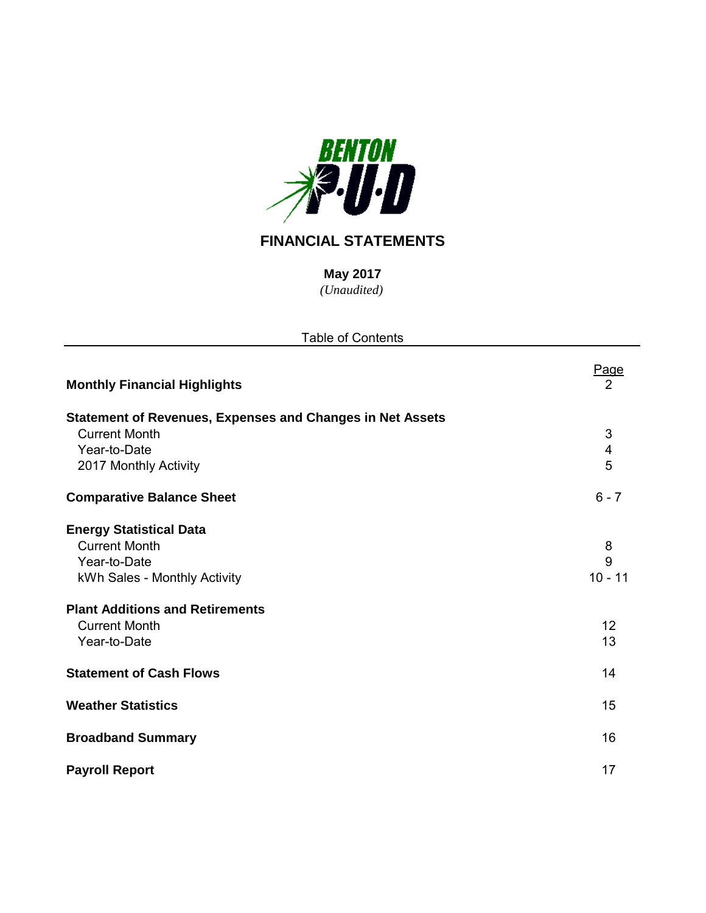

# **FINANCIAL STATEMENTS**

*(Unaudited)* **May 2017**

| <b>Table of Contents</b>                                                                                                                                                                 |                                 |
|------------------------------------------------------------------------------------------------------------------------------------------------------------------------------------------|---------------------------------|
| <b>Monthly Financial Highlights</b>                                                                                                                                                      | Page<br>2                       |
| <b>Statement of Revenues, Expenses and Changes in Net Assets</b><br><b>Current Month</b><br>Year-to-Date<br>2017 Monthly Activity                                                        | $\mathfrak{S}$<br>4<br>5        |
| <b>Comparative Balance Sheet</b>                                                                                                                                                         | $6 - 7$                         |
| <b>Energy Statistical Data</b><br><b>Current Month</b><br>Year-to-Date<br>kWh Sales - Monthly Activity<br><b>Plant Additions and Retirements</b><br><b>Current Month</b><br>Year-to-Date | 8<br>9<br>$10 - 11$<br>12<br>13 |
| <b>Statement of Cash Flows</b>                                                                                                                                                           | 14                              |
| <b>Weather Statistics</b>                                                                                                                                                                | 15                              |
| <b>Broadband Summary</b>                                                                                                                                                                 | 16                              |
| <b>Payroll Report</b>                                                                                                                                                                    | 17                              |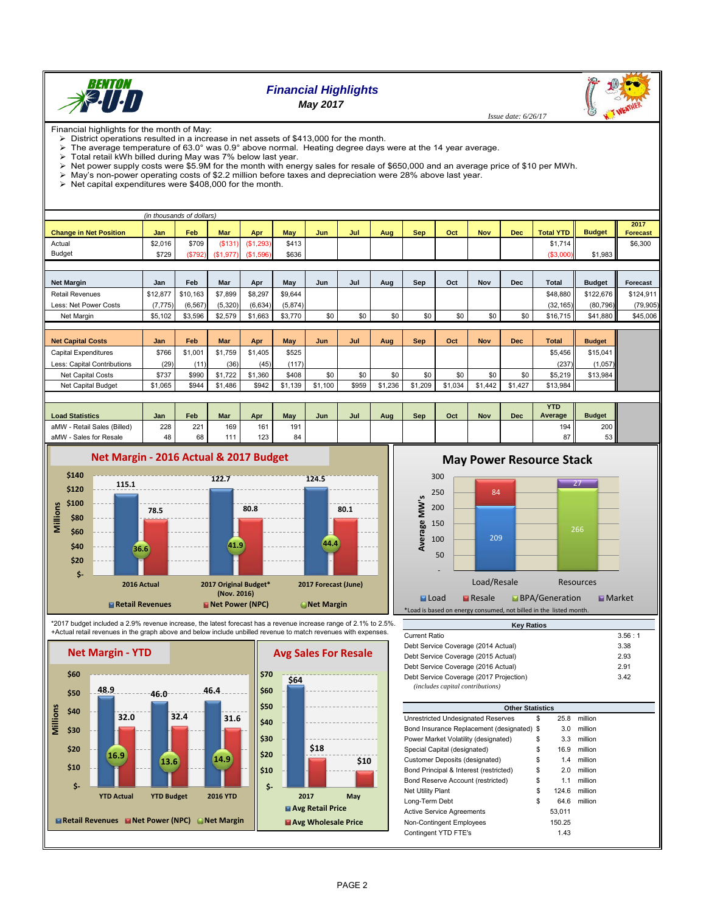

## *Financial Highlights May 2017*

 *Issue date: 6/26/17*

Financial highlights for the month of May: District operations resulted in a increase in net assets of \$413,000 for the month.

The average temperature of 63.0° was 0.9° above normal. Heating degree days were at the 14 year average.

> Total retail kWh billed during May was 7% below last year.

≻ Net power supply costs were \$5.9M for the month with energy sales for resale of \$650,000 and an average price of \$10 per MWh.<br>≻ May's non-power operating costs of \$2.2 million before taxes and depreciation were 28% abov

 $\triangleright$  Net capital expenditures were \$408,000 for the month.

|                               |          | (in thousands of dollars) |            |           |            |            |       |         |            |         |            |            |                  |               |                         |
|-------------------------------|----------|---------------------------|------------|-----------|------------|------------|-------|---------|------------|---------|------------|------------|------------------|---------------|-------------------------|
| <b>Change in Net Position</b> | Jan      | <b>Feb</b>                | <b>Mar</b> | Apr       | <b>May</b> | <b>Jun</b> | Jul   | Aug     | <b>Sep</b> | Oct     | <b>Nov</b> | <b>Dec</b> | <b>Total YTD</b> | <b>Budget</b> | 2017<br><b>Forecast</b> |
| Actual                        | \$2.016  | \$709                     | (S131)     | (S1, 293) | \$413      |            |       |         |            |         |            |            | \$1,714          |               | \$6,300                 |
| <b>Budget</b>                 | \$729    | (\$792)                   | (\$1,977)  | (\$1,596) | \$636      |            |       |         |            |         |            |            | (\$3,000)        | \$1,983       |                         |
|                               |          |                           |            |           |            |            |       |         |            |         |            |            |                  |               |                         |
| <b>Net Margin</b>             | Jan      | Feb                       | Mar        | Apr       | May        | Jun        | Jul   | Aug     | Sep        | Oct     | Nov        | <b>Dec</b> | <b>Total</b>     | <b>Budget</b> | Forecast                |
| <b>Retail Revenues</b>        | \$12,877 | \$10,163                  | \$7,899    | \$8,297   | \$9,644    |            |       |         |            |         |            |            | \$48,880         | \$122,676     | \$124,911               |
| Less: Net Power Costs         | (7, 775) | (6, 567)                  | (5,320)    | (6, 634)  | (5,874)    |            |       |         |            |         |            |            | (32, 165)        | (80, 796)     | (79, 905)               |
| Net Margin                    | \$5,102  | \$3,596                   | \$2,579    | \$1,663   | \$3,770    | \$0        | \$0   | \$0     | \$0        | \$0     | \$0        | \$0        | \$16,715         | \$41,880      | \$45,006                |
|                               |          |                           |            |           |            |            |       |         |            |         |            |            |                  |               |                         |
| <b>Net Capital Costs</b>      | Jan      | Feb                       | <b>Mar</b> | Apr       | May        | Jun        | Jul   | Aug     | <b>Sep</b> | Oct     | <b>Nov</b> | <b>Dec</b> | <b>Total</b>     | <b>Budget</b> |                         |
| <b>Capital Expenditures</b>   | \$766    | \$1,001                   | \$1,759    | \$1,405   | \$525      |            |       |         |            |         |            |            | \$5.456          | \$15,041      |                         |
| Less: Capital Contributions   | (29)     | (11)                      | (36)       | (45)      | (117)      |            |       |         |            |         |            |            | (237)            | (1,057)       |                         |
| Net Capital Costs             | \$737    | \$990                     | \$1,722    | \$1,360   | \$408      | \$0        | \$0   | \$0     | \$0        | \$0     | \$0        | \$0        | \$5,219          | \$13,984      |                         |
| Net Capital Budget            | \$1,065  | \$944                     | \$1,486    | \$942     | \$1,139    | \$1,100    | \$959 | \$1,236 | \$1,209    | \$1,034 | \$1,442    | \$1,427    | \$13,984         |               |                         |
|                               |          |                           |            |           |            |            |       |         |            |         |            |            |                  |               |                         |

|                                |     |     |     |     |     |     |     |     |     |     |     |     | YTD      |                  |  |
|--------------------------------|-----|-----|-----|-----|-----|-----|-----|-----|-----|-----|-----|-----|----------|------------------|--|
| <b>Load Statistics</b>         | Jan | Feb | Mar | Apr | May | Jun | Jul | Aug | Sep | Oct | Nov | Dec | Average  | <b>Budget</b>    |  |
| aMW<br>- Retail Sales (Billed) | 228 | 221 | 169 | 161 | 191 |     |     |     |     |     |     |     | 194      | 200 <sub>h</sub> |  |
| aMW<br>- Sales for Resale      | 48  | 68  | 111 | 123 | 84  |     |     |     |     |     |     |     | 07<br>01 | 53 <sub>1</sub>  |  |





\*2017 budget included a 2.9% revenue increase, the latest forecast has a revenue increase range of 2.1% to 2.5%. +Actual retail revenues in the graph above and below include unbilled revenue to match revenues with expenses.





**2017 May**

**Avg Retail Price Avg Wholesale Price**

## **May Power Resource Stack**



| <b>Key Ratios</b>                                                           |        |
|-----------------------------------------------------------------------------|--------|
| Current Ratio                                                               | 3.56:1 |
| Debt Service Coverage (2014 Actual)                                         | 3.38   |
| Debt Service Coverage (2015 Actual)                                         | 2.93   |
| Debt Service Coverage (2016 Actual)                                         | 2.91   |
| Debt Service Coverage (2017 Projection)<br>(includes capital contributions) | 3.42   |
|                                                                             |        |

| <b>Other Statistics</b>                    |             |         |
|--------------------------------------------|-------------|---------|
| Unrestricted Undesignated Reserves         | \$<br>25.8  | million |
| Bond Insurance Replacement (designated) \$ | 3.0         | million |
| Power Market Volatility (designated)       | \$<br>3.3   | million |
| Special Capital (designated)               | \$<br>16.9  | million |
| Customer Deposits (designated)             | \$<br>1.4   | million |
| Bond Principal & Interest (restricted)     | \$<br>2.0   | million |
| Bond Reserve Account (restricted)          | \$<br>1.1   | million |
| Net Utility Plant                          | \$<br>124.6 | million |
| Long-Term Debt                             | \$<br>64.6  | million |
| <b>Active Service Agreements</b>           | 53.011      |         |
| Non-Contingent Employees                   | 150.25      |         |
| Contingent YTD FTE's                       | 1.43        |         |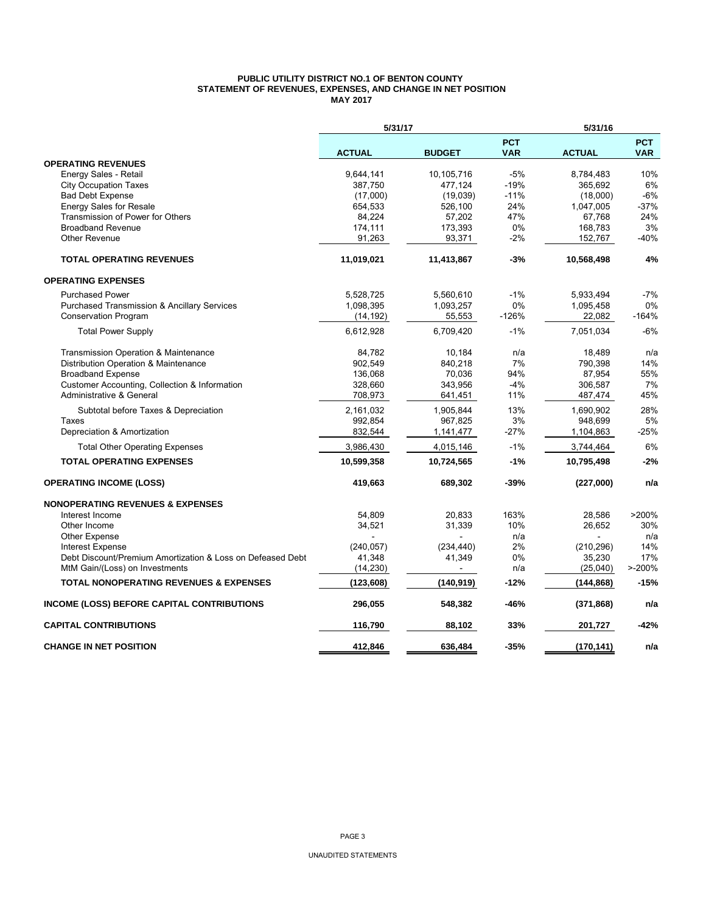#### **PUBLIC UTILITY DISTRICT NO.1 OF BENTON COUNTY STATEMENT OF REVENUES, EXPENSES, AND CHANGE IN NET POSITION MAY 2017**

|                                                            | 5/31/17       |                |                          | 5/31/16       |                          |
|------------------------------------------------------------|---------------|----------------|--------------------------|---------------|--------------------------|
|                                                            | <b>ACTUAL</b> | <b>BUDGET</b>  | <b>PCT</b><br><b>VAR</b> | <b>ACTUAL</b> | <b>PCT</b><br><b>VAR</b> |
| <b>OPERATING REVENUES</b>                                  |               |                |                          |               |                          |
| Energy Sales - Retail                                      | 9,644,141     | 10,105,716     | $-5%$                    | 8,784,483     | 10%                      |
| <b>City Occupation Taxes</b>                               | 387,750       | 477,124        | $-19%$                   | 365,692       | 6%                       |
| <b>Bad Debt Expense</b>                                    | (17,000)      | (19,039)       | $-11%$                   | (18,000)      | $-6%$                    |
| <b>Energy Sales for Resale</b>                             | 654,533       | 526,100        | 24%                      | 1,047,005     | $-37%$                   |
| Transmission of Power for Others                           | 84,224        | 57,202         | 47%                      | 67,768        | 24%                      |
| <b>Broadband Revenue</b>                                   | 174,111       | 173,393        | 0%                       | 168,783       | 3%                       |
| <b>Other Revenue</b>                                       | 91,263        | 93,371         | $-2%$                    | 152,767       | $-40%$                   |
| <b>TOTAL OPERATING REVENUES</b>                            | 11,019,021    | 11,413,867     | $-3%$                    | 10,568,498    | 4%                       |
| <b>OPERATING EXPENSES</b>                                  |               |                |                          |               |                          |
| <b>Purchased Power</b>                                     | 5,528,725     | 5,560,610      | $-1%$                    | 5,933,494     | $-7%$                    |
| <b>Purchased Transmission &amp; Ancillary Services</b>     | 1,098,395     | 1,093,257      | 0%                       | 1,095,458     | 0%                       |
| <b>Conservation Program</b>                                | (14, 192)     | 55,553         | $-126%$                  | 22,082        | $-164%$                  |
| <b>Total Power Supply</b>                                  | 6,612,928     | 6,709,420      | $-1%$                    | 7,051,034     | $-6%$                    |
| Transmission Operation & Maintenance                       | 84,782        | 10,184         | n/a                      | 18,489        | n/a                      |
| Distribution Operation & Maintenance                       | 902.549       | 840,218        | 7%                       | 790,398       | 14%                      |
| <b>Broadband Expense</b>                                   | 136,068       | 70,036         | 94%                      | 87,954        | 55%                      |
| Customer Accounting, Collection & Information              | 328,660       | 343,956        | $-4%$                    | 306,587       | 7%                       |
| Administrative & General                                   | 708,973       | 641,451        | 11%                      | 487,474       | 45%                      |
| Subtotal before Taxes & Depreciation                       | 2,161,032     | 1,905,844      | 13%                      | 1,690,902     | 28%                      |
| Taxes                                                      | 992,854       | 967,825        | 3%                       | 948,699       | 5%                       |
| Depreciation & Amortization                                | 832,544       | 1,141,477      | -27%                     | 1,104,863     | -25%                     |
| <b>Total Other Operating Expenses</b>                      | 3,986,430     | 4,015,146      | $-1%$                    | 3,744,464     | 6%                       |
| <b>TOTAL OPERATING EXPENSES</b>                            | 10,599,358    | 10,724,565     | $-1%$                    | 10,795,498    | $-2%$                    |
| <b>OPERATING INCOME (LOSS)</b>                             | 419,663       | 689,302        | -39%                     | (227,000)     | n/a                      |
| <b>NONOPERATING REVENUES &amp; EXPENSES</b>                |               |                |                          |               |                          |
| Interest Income                                            | 54,809        | 20,833         | 163%                     | 28,586        | >200%                    |
| Other Income                                               | 34,521        | 31,339         | 10%                      | 26,652        | 30%                      |
| <b>Other Expense</b>                                       |               |                | n/a                      |               | n/a                      |
| <b>Interest Expense</b>                                    | (240, 057)    | (234, 440)     | 2%                       | (210, 296)    | 14%                      |
| Debt Discount/Premium Amortization & Loss on Defeased Debt | 41,348        | 41,349         | 0%                       | 35,230        | 17%                      |
| MtM Gain/(Loss) on Investments                             | (14, 230)     | $\blacksquare$ | n/a                      | (25,040)      | $> -200%$                |
| <b>TOTAL NONOPERATING REVENUES &amp; EXPENSES</b>          | (123, 608)    | (140, 919)     | $-12%$                   | (144, 868)    | $-15%$                   |
| INCOME (LOSS) BEFORE CAPITAL CONTRIBUTIONS                 | 296,055       | 548,382        | -46%                     | (371, 868)    | n/a                      |
| <b>CAPITAL CONTRIBUTIONS</b>                               | 116,790       | 88,102         | 33%                      | 201,727       | -42%                     |
| <b>CHANGE IN NET POSITION</b>                              | 412.846       | 636,484        | $-35%$                   | (170, 141)    | n/a                      |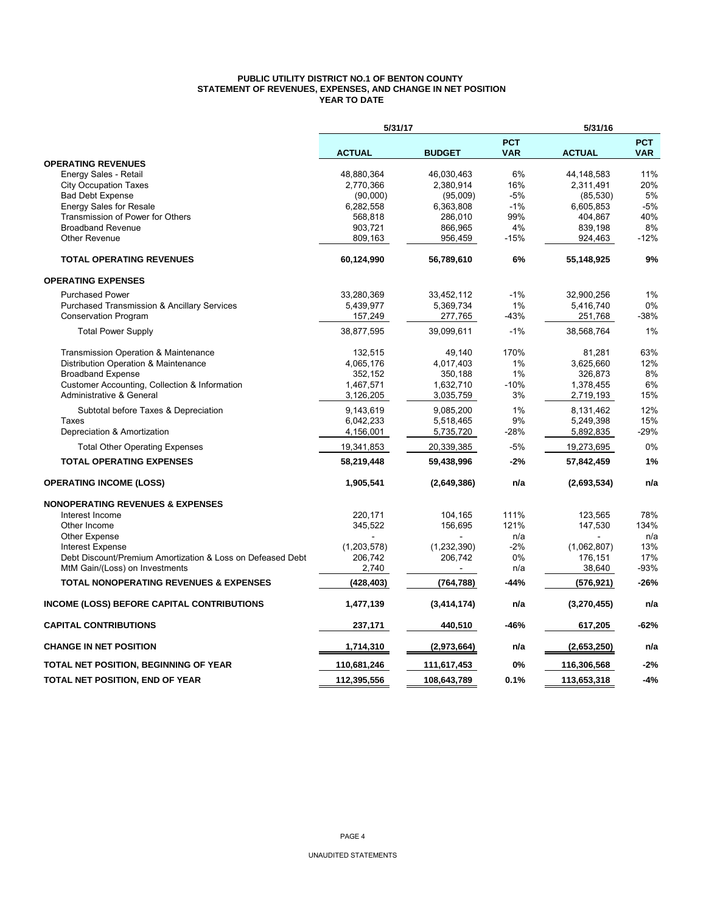#### **PUBLIC UTILITY DISTRICT NO.1 OF BENTON COUNTY STATEMENT OF REVENUES, EXPENSES, AND CHANGE IN NET POSITION YEAR TO DATE**

|                                                            | 5/31/17       |               |                          | 5/31/16       |                          |
|------------------------------------------------------------|---------------|---------------|--------------------------|---------------|--------------------------|
|                                                            | <b>ACTUAL</b> | <b>BUDGET</b> | <b>PCT</b><br><b>VAR</b> | <b>ACTUAL</b> | <b>PCT</b><br><b>VAR</b> |
| <b>OPERATING REVENUES</b>                                  |               |               |                          |               |                          |
| Energy Sales - Retail                                      | 48,880,364    | 46,030,463    | 6%                       | 44,148,583    | 11%                      |
| <b>City Occupation Taxes</b>                               | 2,770,366     | 2,380,914     | 16%                      | 2,311,491     | 20%                      |
| <b>Bad Debt Expense</b>                                    | (90,000)      | (95,009)      | $-5%$                    | (85, 530)     | 5%                       |
| <b>Energy Sales for Resale</b>                             | 6,282,558     | 6,363,808     | $-1%$                    | 6,605,853     | $-5%$                    |
| Transmission of Power for Others                           | 568,818       | 286,010       | 99%                      | 404,867       | 40%                      |
| <b>Broadband Revenue</b>                                   | 903,721       | 866,965       | 4%                       | 839,198       | 8%                       |
| Other Revenue                                              | 809,163       | 956,459       | $-15%$                   | 924,463       | $-12%$                   |
| <b>TOTAL OPERATING REVENUES</b>                            | 60,124,990    | 56,789,610    | 6%                       | 55,148,925    | 9%                       |
| <b>OPERATING EXPENSES</b>                                  |               |               |                          |               |                          |
| <b>Purchased Power</b>                                     | 33,280,369    | 33,452,112    | $-1%$                    | 32,900,256    | 1%                       |
| <b>Purchased Transmission &amp; Ancillary Services</b>     | 5,439,977     | 5,369,734     | 1%                       | 5,416,740     | 0%                       |
| <b>Conservation Program</b>                                | 157,249       | 277,765       | $-43%$                   | 251,768       | $-38%$                   |
| <b>Total Power Supply</b>                                  | 38,877,595    | 39,099,611    | $-1%$                    | 38,568,764    | 1%                       |
| Transmission Operation & Maintenance                       | 132,515       | 49,140        | 170%                     | 81,281        | 63%                      |
| Distribution Operation & Maintenance                       | 4,065,176     | 4,017,403     | 1%                       | 3,625,660     | 12%                      |
| <b>Broadband Expense</b>                                   | 352,152       | 350,188       | 1%                       | 326,873       | 8%                       |
| Customer Accounting, Collection & Information              | 1,467,571     | 1,632,710     | $-10%$                   | 1,378,455     | 6%                       |
| <b>Administrative &amp; General</b>                        | 3,126,205     | 3,035,759     | 3%                       | 2,719,193     | 15%                      |
| Subtotal before Taxes & Depreciation                       | 9,143,619     | 9,085,200     | 1%                       | 8,131,462     | 12%                      |
| Taxes                                                      | 6,042,233     | 5,518,465     | 9%                       | 5,249,398     | 15%                      |
| Depreciation & Amortization                                | 4,156,001     | 5,735,720     | -28%                     | 5,892,835     | $-29%$                   |
| <b>Total Other Operating Expenses</b>                      | 19,341,853    | 20,339,385    | $-5%$                    | 19,273,695    | 0%                       |
| <b>TOTAL OPERATING EXPENSES</b>                            | 58,219,448    | 59,438,996    | $-2%$                    | 57,842,459    | 1%                       |
| <b>OPERATING INCOME (LOSS)</b>                             | 1,905,541     | (2,649,386)   | n/a                      | (2,693,534)   | n/a                      |
| <b>NONOPERATING REVENUES &amp; EXPENSES</b>                |               |               |                          |               |                          |
| Interest Income                                            | 220,171       | 104,165       | 111%                     | 123,565       | 78%                      |
| Other Income                                               | 345,522       | 156,695       | 121%                     | 147,530       | 134%                     |
| <b>Other Expense</b>                                       |               |               | n/a                      |               | n/a                      |
| <b>Interest Expense</b>                                    | (1,203,578)   | (1,232,390)   | $-2%$                    | (1,062,807)   | 13%                      |
| Debt Discount/Premium Amortization & Loss on Defeased Debt | 206,742       | 206,742       | 0%                       | 176,151       | 17%                      |
| MtM Gain/(Loss) on Investments                             | 2,740         |               | n/a                      | 38,640        | $-93%$                   |
| <b>TOTAL NONOPERATING REVENUES &amp; EXPENSES</b>          | (428, 403)    | (764, 788)    | -44%                     | (576,921)     | $-26%$                   |
| <b>INCOME (LOSS) BEFORE CAPITAL CONTRIBUTIONS</b>          | 1,477,139     | (3,414,174)   | n/a                      | (3,270,455)   | n/a                      |
| <b>CAPITAL CONTRIBUTIONS</b>                               | 237,171       | 440,510       | -46%                     | 617,205       | $-62%$                   |
| <b>CHANGE IN NET POSITION</b>                              | 1,714,310     | (2,973,664)   | n/a                      | (2,653,250)   | n/a                      |
| <b>TOTAL NET POSITION, BEGINNING OF YEAR</b>               | 110,681,246   | 111,617,453   | 0%                       | 116,306,568   | $-2%$                    |
| TOTAL NET POSITION, END OF YEAR                            | 112,395,556   | 108,643,789   | 0.1%                     | 113,653,318   | $-4%$                    |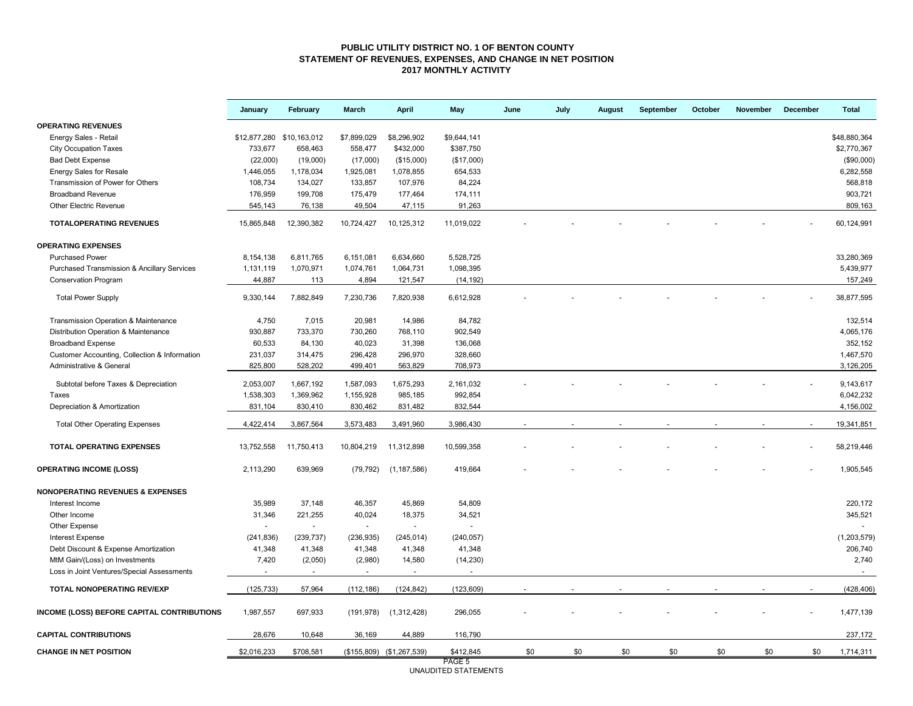#### **PUBLIC UTILITY DISTRICT NO. 1 OF BENTON COUNTY STATEMENT OF REVENUES, EXPENSES, AND CHANGE IN NET POSITION 2017 MONTHLY ACTIVITY**

|                                                                              | January                   | February          | March             | <b>April</b>              | May            | June | July | <b>August</b> | September | October | November | December | <b>Total</b>    |
|------------------------------------------------------------------------------|---------------------------|-------------------|-------------------|---------------------------|----------------|------|------|---------------|-----------|---------|----------|----------|-----------------|
| <b>OPERATING REVENUES</b>                                                    |                           |                   |                   |                           |                |      |      |               |           |         |          |          |                 |
| Energy Sales - Retail                                                        | \$12,877,280 \$10,163,012 |                   | \$7,899,029       | \$8,296,902               | \$9,644,141    |      |      |               |           |         |          |          | \$48,880,364    |
| <b>City Occupation Taxes</b>                                                 | 733,677                   | 658,463           | 558,477           | \$432,000                 | \$387,750      |      |      |               |           |         |          |          | \$2,770,367     |
| <b>Bad Debt Expense</b>                                                      | (22,000)                  | (19,000)          | (17,000)          | (\$15,000)                | (\$17,000)     |      |      |               |           |         |          |          | (\$90,000)      |
| <b>Energy Sales for Resale</b>                                               | 1,446,055                 | 1,178,034         | 1,925,081         | 1,078,855                 | 654,533        |      |      |               |           |         |          |          | 6,282,558       |
| Transmission of Power for Others                                             | 108,734                   | 134,027           | 133,857           | 107,976                   | 84,224         |      |      |               |           |         |          |          | 568,818         |
| <b>Broadband Revenue</b>                                                     | 176,959                   | 199,708           | 175,479           | 177,464                   | 174,111        |      |      |               |           |         |          |          | 903,721         |
| Other Electric Revenue                                                       | 545,143                   | 76,138            | 49,504            | 47,115                    | 91,263         |      |      |               |           |         |          |          | 809,163         |
| <b>TOTALOPERATING REVENUES</b>                                               | 15,865,848                | 12,390,382        | 10,724,427        | 10,125,312                | 11,019,022     |      |      |               |           |         |          |          | 60,124,991      |
| <b>OPERATING EXPENSES</b>                                                    |                           |                   |                   |                           |                |      |      |               |           |         |          |          |                 |
| <b>Purchased Power</b>                                                       | 8,154,138                 | 6,811,765         | 6,151,081         | 6,634,660                 | 5,528,725      |      |      |               |           |         |          |          | 33,280,369      |
| Purchased Transmission & Ancillary Services                                  | 1,131,119                 | 1,070,971         | 1,074,761         | 1,064,731                 | 1,098,395      |      |      |               |           |         |          |          | 5,439,977       |
| <b>Conservation Program</b>                                                  | 44,887                    | 113               | 4,894             | 121,547                   | (14, 192)      |      |      |               |           |         |          |          | 157,249         |
| <b>Total Power Supply</b>                                                    | 9,330,144                 | 7,882,849         | 7,230,736         | 7,820,938                 | 6,612,928      |      |      |               |           |         |          |          | 38,877,595      |
| Transmission Operation & Maintenance                                         | 4,750                     | 7,015             | 20,981            | 14,986                    | 84,782         |      |      |               |           |         |          |          | 132,514         |
| Distribution Operation & Maintenance                                         | 930,887                   | 733,370           | 730,260           | 768,110                   | 902,549        |      |      |               |           |         |          |          | 4,065,176       |
| <b>Broadband Expense</b>                                                     | 60,533                    | 84,130            | 40,023            | 31,398                    | 136,068        |      |      |               |           |         |          |          | 352,152         |
| Customer Accounting, Collection & Information                                | 231,037                   | 314,475           | 296,428           | 296,970                   | 328,660        |      |      |               |           |         |          |          | 1,467,570       |
| Administrative & General                                                     | 825,800                   | 528,202           | 499,401           | 563,829                   | 708,973        |      |      |               |           |         |          |          | 3,126,205       |
| Subtotal before Taxes & Depreciation                                         | 2,053,007                 | 1,667,192         | 1,587,093         | 1,675,293                 | 2,161,032      |      |      |               |           |         |          |          | 9,143,617       |
| Taxes                                                                        | 1,538,303                 | 1,369,962         | 1,155,928         | 985,185                   | 992,854        |      |      |               |           |         |          |          | 6,042,232       |
| Depreciation & Amortization                                                  | 831,104                   | 830,410           | 830,462           | 831,482                   | 832,544        |      |      |               |           |         |          |          | 4,156,002       |
|                                                                              |                           |                   |                   |                           |                |      |      |               |           |         |          |          |                 |
| <b>Total Other Operating Expenses</b>                                        | 4,422,414                 | 3,867,564         | 3,573,483         | 3,491,960                 | 3,986,430      |      |      |               |           |         |          |          | 19,341,851      |
| <b>TOTAL OPERATING EXPENSES</b>                                              | 13,752,558                | 11,750,413        | 10,804,219        | 11,312,898                | 10,599,358     |      |      |               |           |         |          |          | 58,219,446      |
| <b>OPERATING INCOME (LOSS)</b>                                               | 2,113,290                 | 639,969           | (79, 792)         | (1, 187, 586)             | 419,664        |      |      |               |           |         |          |          | 1,905,545       |
| <b>NONOPERATING REVENUES &amp; EXPENSES</b>                                  |                           |                   |                   |                           |                |      |      |               |           |         |          |          |                 |
| Interest Income                                                              | 35,989                    | 37,148            | 46,357            | 45,869                    | 54,809         |      |      |               |           |         |          |          | 220,172         |
| Other Income                                                                 | 31,346                    | 221,255           | 40,024            | 18,375                    | 34,521         |      |      |               |           |         |          |          | 345,521         |
| Other Expense                                                                | $\sim$                    | $\sim$            | $\sim$            | $\omega$                  | $\blacksquare$ |      |      |               |           |         |          |          |                 |
| <b>Interest Expense</b>                                                      | (241, 836)                | (239, 737)        | (236, 935)        | (245, 014)                | (240, 057)     |      |      |               |           |         |          |          | (1,203,579)     |
| Debt Discount & Expense Amortization                                         | 41,348                    | 41,348            | 41,348            | 41,348                    | 41,348         |      |      |               |           |         |          |          | 206,740         |
| MtM Gain/(Loss) on Investments<br>Loss in Joint Ventures/Special Assessments | 7,420                     | (2,050)<br>$\sim$ | (2,980)<br>$\sim$ | 14,580<br>$\sim$          | (14, 230)      |      |      |               |           |         |          |          | 2,740<br>$\sim$ |
|                                                                              |                           |                   |                   |                           |                |      |      |               |           |         |          |          |                 |
| TOTAL NONOPERATING REV/EXP                                                   | (125, 733)                | 57,964            | (112, 186)        | (124, 842)                | (123, 609)     |      |      |               |           |         |          |          | (428, 406)      |
| INCOME (LOSS) BEFORE CAPITAL CONTRIBUTIONS                                   | 1,987,557                 | 697,933           | (191, 978)        | (1,312,428)               | 296,055        |      |      |               |           |         |          |          | 1,477,139       |
| <b>CAPITAL CONTRIBUTIONS</b>                                                 | 28,676                    | 10,648            | 36,169            | 44,889                    | 116,790        |      |      |               |           |         |          |          | 237,172         |
| <b>CHANGE IN NET POSITION</b>                                                | \$2,016,233               | \$708,581         |                   | (\$155,809) (\$1,267,539) | \$412,845      | \$0  | \$0  | \$0           | \$0       | \$0     | \$0      | \$0      | 1,714,311       |
|                                                                              |                           |                   |                   |                           | PAGE 5         |      |      |               |           |         |          |          |                 |

PAGE 5 UNAUDITED STATEMENTS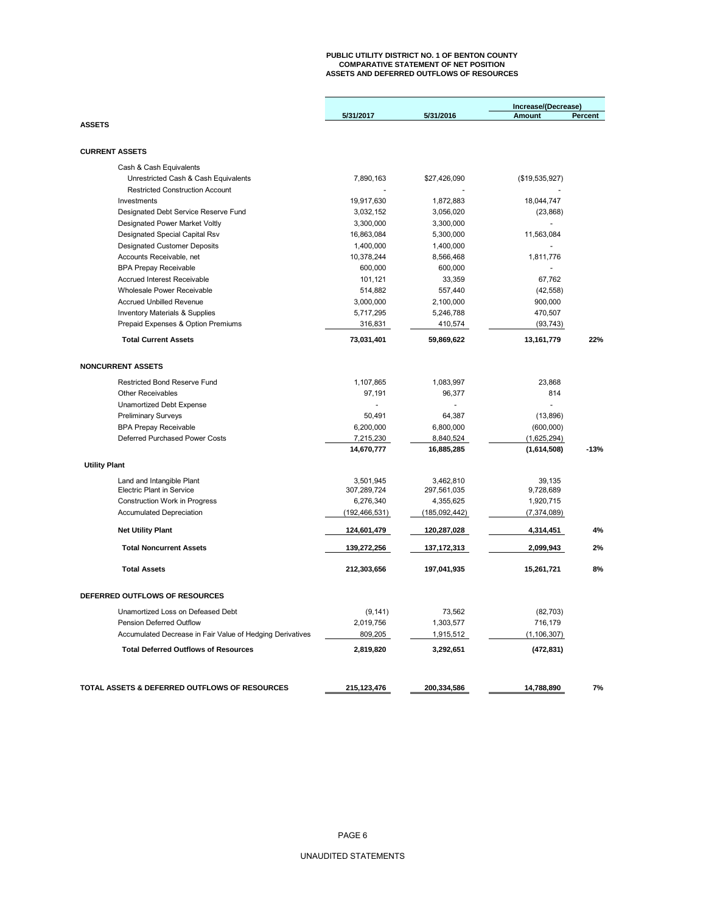## **PUBLIC UTILITY DISTRICT NO. 1 OF BENTON COUNTY COMPARATIVE STATEMENT OF NET POSITION ASSETS AND DEFERRED OUTFLOWS OF RESOURCES**

|                                                               |                       |                     | Increase/(Decrease) |         |  |  |
|---------------------------------------------------------------|-----------------------|---------------------|---------------------|---------|--|--|
|                                                               | 5/31/2017             | 5/31/2016           | <b>Amount</b>       | Percent |  |  |
| <b>ASSETS</b>                                                 |                       |                     |                     |         |  |  |
|                                                               |                       |                     |                     |         |  |  |
| <b>CURRENT ASSETS</b>                                         |                       |                     |                     |         |  |  |
| Cash & Cash Equivalents                                       |                       |                     |                     |         |  |  |
| Unrestricted Cash & Cash Equivalents                          | 7,890,163             | \$27,426,090        | (\$19,535,927)      |         |  |  |
| <b>Restricted Construction Account</b>                        |                       |                     |                     |         |  |  |
| Investments                                                   | 19,917,630            | 1,872,883           | 18,044,747          |         |  |  |
| Designated Debt Service Reserve Fund                          | 3,032,152             | 3,056,020           | (23, 868)           |         |  |  |
| Designated Power Market Voltly                                | 3,300,000             | 3,300,000           |                     |         |  |  |
| Designated Special Capital Rsv                                | 16,863,084            | 5,300,000           | 11,563,084          |         |  |  |
| <b>Designated Customer Deposits</b>                           | 1,400,000             | 1,400,000           |                     |         |  |  |
| Accounts Receivable, net                                      | 10,378,244            | 8,566,468           | 1,811,776           |         |  |  |
| <b>BPA Prepay Receivable</b>                                  | 600,000               | 600,000             |                     |         |  |  |
| Accrued Interest Receivable                                   | 101,121               | 33,359              | 67,762              |         |  |  |
| Wholesale Power Receivable                                    | 514,882               | 557,440             | (42, 558)           |         |  |  |
| <b>Accrued Unbilled Revenue</b>                               | 3,000,000             | 2,100,000           | 900,000             |         |  |  |
| <b>Inventory Materials &amp; Supplies</b>                     | 5,717,295             | 5,246,788           | 470,507             |         |  |  |
| Prepaid Expenses & Option Premiums                            | 316,831               | 410,574             | (93, 743)           |         |  |  |
| <b>Total Current Assets</b>                                   | 73,031,401            | 59,869,622          | 13,161,779          | 22%     |  |  |
| <b>NONCURRENT ASSETS</b>                                      |                       |                     |                     |         |  |  |
|                                                               |                       |                     |                     |         |  |  |
| <b>Restricted Bond Reserve Fund</b>                           | 1,107,865             | 1,083,997           | 23,868              |         |  |  |
| <b>Other Receivables</b>                                      | 97,191                | 96,377              | 814                 |         |  |  |
| Unamortized Debt Expense                                      |                       |                     | $\overline{a}$      |         |  |  |
| <b>Preliminary Surveys</b>                                    | 50.491                | 64,387              | (13, 896)           |         |  |  |
| <b>BPA Prepay Receivable</b>                                  | 6,200,000             | 6,800,000           | (600,000)           |         |  |  |
| Deferred Purchased Power Costs                                | 7,215,230             | 8,840,524           | (1,625,294)         |         |  |  |
|                                                               | 14,670,777            | 16,885,285          | (1,614,508)         | $-13%$  |  |  |
| <b>Utility Plant</b>                                          |                       |                     |                     |         |  |  |
| Land and Intangible Plant                                     | 3,501,945             | 3,462,810           | 39,135              |         |  |  |
| <b>Electric Plant in Service</b>                              | 307,289,724           | 297,561,035         | 9,728,689           |         |  |  |
| Construction Work in Progress                                 | 6,276,340             | 4,355,625           | 1,920,715           |         |  |  |
| <b>Accumulated Depreciation</b>                               | (192,466,531)         | (185,092,442)       | (7, 374, 089)       |         |  |  |
| <b>Net Utility Plant</b>                                      | 124,601,479           | 120,287,028         | 4,314,451           | 4%      |  |  |
| <b>Total Noncurrent Assets</b>                                | 139,272,256           | 137, 172, 313       | 2,099,943           | 2%      |  |  |
| <b>Total Assets</b>                                           | 212,303,656           | 197,041,935         | 15,261,721          | 8%      |  |  |
| DEFERRED OUTFLOWS OF RESOURCES                                |                       |                     |                     |         |  |  |
|                                                               |                       |                     |                     |         |  |  |
| Unamortized Loss on Defeased Debt<br>Pension Deferred Outflow | (9, 141)<br>2,019,756 | 73,562<br>1,303,577 | (82, 703)           |         |  |  |
| Accumulated Decrease in Fair Value of Hedging Derivatives     | 809,205               |                     | 716,179             |         |  |  |
|                                                               |                       | 1,915,512           | (1, 106, 307)       |         |  |  |
| <b>Total Deferred Outflows of Resources</b>                   | 2,819,820             | 3,292,651           | (472, 831)          |         |  |  |
|                                                               |                       |                     |                     |         |  |  |
| TOTAL ASSETS & DEFERRED OUTFLOWS OF RESOURCES                 | 215,123,476           | 200,334,586         | 14,788,890          | 7%      |  |  |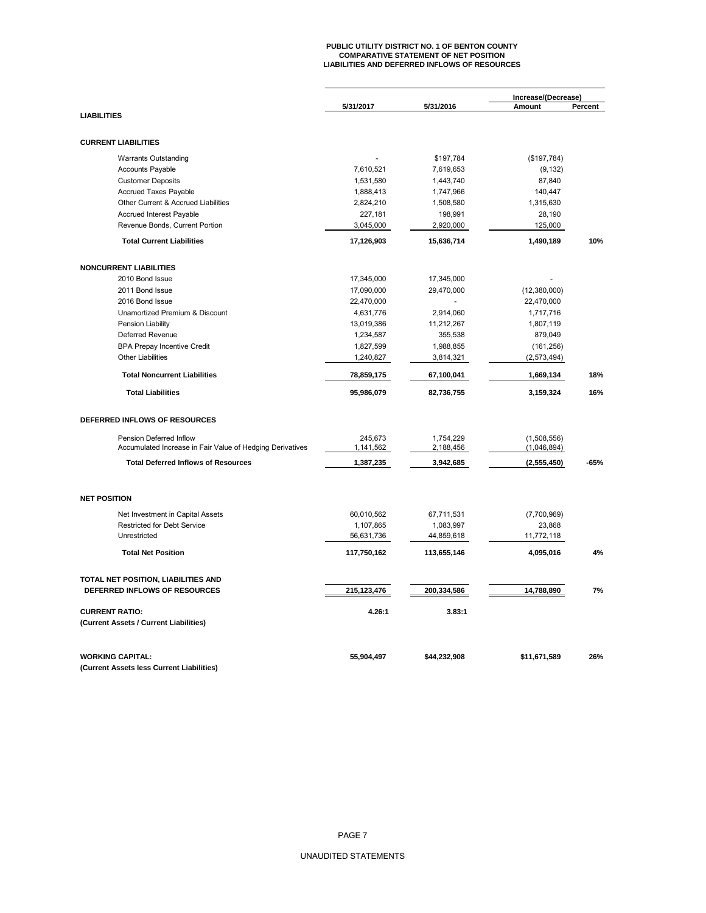# **PUBLIC UTILITY DISTRICT NO. 1 OF BENTON COUNTY COMPARATIVE STATEMENT OF NET POSITION LIABILITIES AND DEFERRED INFLOWS OF RESOURCES**

|                                                           | 5/31/2017               | 5/31/2016               | Increase/(Decrease)<br>Amount | Percent |
|-----------------------------------------------------------|-------------------------|-------------------------|-------------------------------|---------|
| <b>LIABILITIES</b>                                        |                         |                         |                               |         |
| <b>CURRENT LIABILITIES</b>                                |                         |                         |                               |         |
| <b>Warrants Outstanding</b>                               |                         | \$197,784               | (\$197,784)                   |         |
| <b>Accounts Payable</b>                                   | 7,610,521               | 7,619,653               | (9, 132)                      |         |
| <b>Customer Deposits</b>                                  | 1,531,580               | 1,443,740               | 87,840                        |         |
| <b>Accrued Taxes Payable</b>                              | 1,888,413               | 1,747,966               | 140,447                       |         |
| Other Current & Accrued Liabilities                       | 2,824,210               | 1,508,580               | 1,315,630                     |         |
| Accrued Interest Payable                                  | 227,181                 | 198,991                 | 28,190                        |         |
| Revenue Bonds, Current Portion                            | 3,045,000               | 2,920,000               | 125,000                       |         |
| <b>Total Current Liabilities</b>                          | 17,126,903              | 15,636,714              | 1,490,189                     | 10%     |
| <b>NONCURRENT LIABILITIES</b>                             |                         |                         |                               |         |
| 2010 Bond Issue                                           | 17,345,000              | 17,345,000              |                               |         |
| 2011 Bond Issue                                           |                         |                         |                               |         |
| 2016 Bond Issue                                           | 17,090,000              | 29,470,000              | (12,380,000)                  |         |
| Unamortized Premium & Discount                            | 22,470,000              |                         | 22,470,000                    |         |
|                                                           | 4,631,776               | 2,914,060               | 1,717,716                     |         |
| Pension Liability                                         | 13,019,386              | 11,212,267              | 1,807,119                     |         |
| Deferred Revenue                                          | 1,234,587               | 355,538                 | 879,049                       |         |
| <b>BPA Prepay Incentive Credit</b>                        | 1,827,599               | 1,988,855               | (161, 256)                    |         |
| <b>Other Liabilities</b>                                  | 1,240,827               | 3,814,321               | (2, 573, 494)                 |         |
| <b>Total Noncurrent Liabilities</b>                       | 78,859,175              | 67,100,041              | 1,669,134                     | 18%     |
| <b>Total Liabilities</b>                                  | 95,986,079              | 82,736,755              | 3,159,324                     | 16%     |
| DEFERRED INFLOWS OF RESOURCES                             |                         |                         |                               |         |
| Pension Deferred Inflow                                   | 245,673                 | 1,754,229               | (1,508,556)                   |         |
| Accumulated Increase in Fair Value of Hedging Derivatives | 1,141,562               | 2,188,456               | (1,046,894)                   |         |
| <b>Total Deferred Inflows of Resources</b>                | 1,387,235               | 3,942,685               | (2,555,450)                   | $-65%$  |
| <b>NET POSITION</b>                                       |                         |                         |                               |         |
|                                                           |                         |                         |                               |         |
| Net Investment in Capital Assets                          | 60,010,562              | 67,711,531              | (7,700,969)                   |         |
| <b>Restricted for Debt Service</b><br>Unrestricted        | 1,107,865<br>56,631,736 | 1,083,997<br>44,859,618 | 23,868<br>11,772,118          |         |
| <b>Total Net Position</b>                                 | 117,750,162             | 113,655,146             | 4,095,016                     | 4%      |
|                                                           |                         |                         |                               |         |
| TOTAL NET POSITION, LIABILITIES AND                       |                         |                         |                               |         |
| DEFERRED INFLOWS OF RESOURCES                             | 215,123,476             | 200,334,586             | 14,788,890                    | 7%      |
| <b>CURRENT RATIO:</b>                                     | 4.26:1                  | 3.83:1                  |                               |         |
| (Current Assets / Current Liabilities)                    |                         |                         |                               |         |
| <b>WORKING CAPITAL:</b>                                   | 55,904,497              | \$44,232,908            | \$11,671,589                  | 26%     |
| (Current Assets less Current Liabilities)                 |                         |                         |                               |         |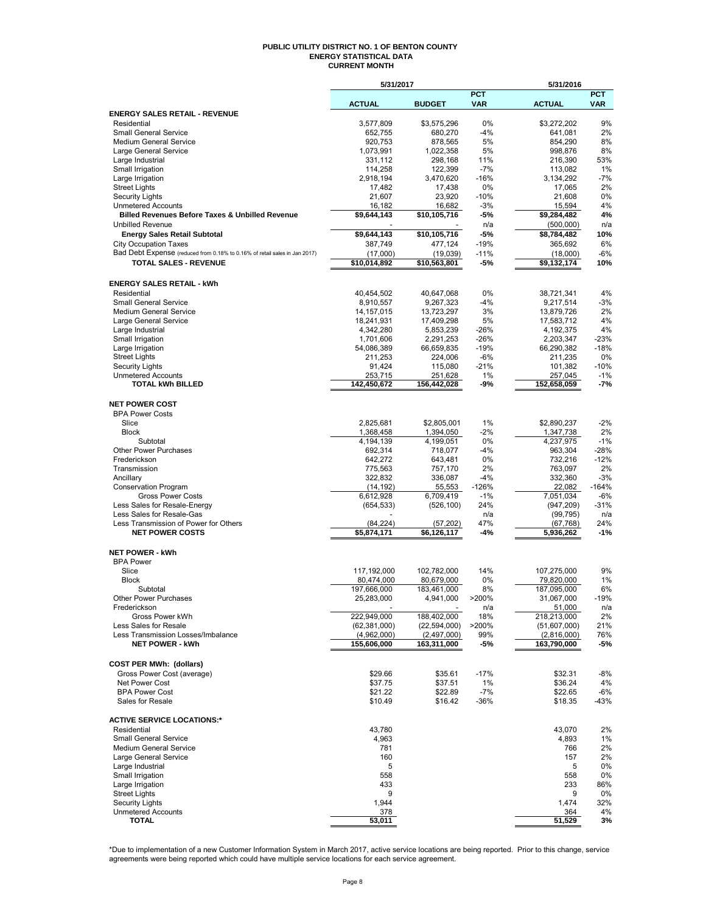#### **PUBLIC UTILITY DISTRICT NO. 1 OF BENTON COUNTY ENERGY STATISTICAL DATA CURRENT MONTH**

|                                                                                                            | 5/31/2017                 |                           |                          | 5/31/2016                 |                          |
|------------------------------------------------------------------------------------------------------------|---------------------------|---------------------------|--------------------------|---------------------------|--------------------------|
|                                                                                                            | <b>ACTUAL</b>             | <b>BUDGET</b>             | <b>PCT</b><br><b>VAR</b> | <b>ACTUAL</b>             | <b>PCT</b><br><b>VAR</b> |
| <b>ENERGY SALES RETAIL - REVENUE</b>                                                                       |                           |                           |                          |                           |                          |
| Residential                                                                                                | 3,577,809                 | \$3,575,296               | 0%                       | \$3,272,202               | 9%                       |
| <b>Small General Service</b>                                                                               | 652,755                   | 680,270                   | $-4%$                    | 641,081                   | 2%                       |
| <b>Medium General Service</b>                                                                              | 920,753                   | 878,565                   | 5%                       | 854,290                   | 8%                       |
| Large General Service                                                                                      | 1,073,991                 | 1,022,358                 | 5%                       | 998,876                   | 8%                       |
| Large Industrial                                                                                           | 331,112                   | 298,168                   | 11%<br>$-7%$             | 216,390                   | 53%<br>1%                |
| Small Irrigation<br>Large Irrigation                                                                       | 114,258<br>2,918,194      | 122,399<br>3,470,620      | $-16%$                   | 113,082<br>3,134,292      | -7%                      |
| <b>Street Lights</b>                                                                                       | 17,482                    | 17,438                    | 0%                       | 17,065                    | 2%                       |
| <b>Security Lights</b>                                                                                     | 21,607                    | 23,920                    | $-10%$                   | 21,608                    | 0%                       |
| <b>Unmetered Accounts</b>                                                                                  | 16,182                    | 16,682                    | $-3%$                    | 15,594                    | 4%                       |
| <b>Billed Revenues Before Taxes &amp; Unbilled Revenue</b>                                                 | \$9,644,143               | \$10,105,716              | -5%                      | \$9,284,482               | 4%                       |
| <b>Unbilled Revenue</b>                                                                                    |                           |                           | n/a                      | (500,000)                 | n/a                      |
| <b>Energy Sales Retail Subtotal</b>                                                                        | \$9,644,143               | \$10,105,716              | -5%                      | \$8,784,482               | 10%                      |
| <b>City Occupation Taxes</b>                                                                               | 387,749                   | 477,124                   | $-19%$                   | 365.692                   | 6%                       |
| Bad Debt Expense (reduced from 0.18% to 0.16% of retail sales in Jan 2017)<br><b>TOTAL SALES - REVENUE</b> | (17,000)<br>\$10,014,892  | (19,039)<br>\$10,563,801  | $-11%$<br>-5%            | (18,000)<br>\$9,132,174   | -6%<br>10%               |
|                                                                                                            |                           |                           |                          |                           |                          |
| <b>ENERGY SALES RETAIL - kWh</b>                                                                           |                           |                           |                          |                           |                          |
| Residential                                                                                                | 40,454,502                | 40,647,068                | 0%                       | 38,721,341                | 4%                       |
| <b>Small General Service</b>                                                                               | 8,910,557                 | 9,267,323                 | $-4%$                    | 9,217,514                 | -3%                      |
| Medium General Service                                                                                     | 14, 157, 015              | 13,723,297                | 3%                       | 13,879,726                | 2%                       |
| Large General Service                                                                                      | 18,241,931                | 17,409,298                | 5%                       | 17,583,712                | 4%                       |
| Large Industrial                                                                                           | 4,342,280                 | 5,853,239                 | $-26%$                   | 4,192,375                 | 4%                       |
| Small Irrigation                                                                                           | 1,701,606                 | 2,291,253                 | $-26%$                   | 2,203,347                 | $-23%$                   |
| Large Irrigation<br><b>Street Lights</b>                                                                   | 54,086,389<br>211,253     | 66,659,835<br>224,006     | $-19%$<br>$-6%$          | 66,290,382<br>211,235     | $-18%$<br>0%             |
| <b>Security Lights</b>                                                                                     | 91,424                    | 115,080                   | $-21%$                   | 101,382                   | $-10%$                   |
| <b>Unmetered Accounts</b>                                                                                  | 253,715                   | 251,628                   | 1%                       | 257,045                   | $-1%$                    |
| <b>TOTAL kWh BILLED</b>                                                                                    | 142,450,672               | 156,442,028               | -9%                      | 152,658,059               | -7%                      |
|                                                                                                            |                           |                           |                          |                           |                          |
| <b>NET POWER COST</b>                                                                                      |                           |                           |                          |                           |                          |
| <b>BPA Power Costs</b>                                                                                     |                           |                           |                          |                           |                          |
| Slice                                                                                                      | 2,825,681                 | \$2,805,001               | 1%                       | \$2,890,237               | $-2%$                    |
| <b>Block</b><br>Subtotal                                                                                   | 1,368,458<br>4,194,139    | 1,394,050<br>4,199,051    | $-2%$<br>0%              | 1,347,738<br>4,237,975    | 2%<br>$-1%$              |
| <b>Other Power Purchases</b>                                                                               | 692,314                   | 718,077                   | $-4%$                    | 963,304                   | $-28%$                   |
| Frederickson                                                                                               | 642,272                   | 643,481                   | 0%                       | 732,216                   | $-12%$                   |
| Transmission                                                                                               | 775,563                   | 757,170                   | 2%                       | 763,097                   | 2%                       |
| Ancillary                                                                                                  | 322,832                   | 336,087                   | $-4%$                    | 332,360                   | $-3%$                    |
| <b>Conservation Program</b>                                                                                | (14, 192)                 | 55,553                    | $-126%$                  | 22,082                    | $-164%$                  |
| <b>Gross Power Costs</b><br>Less Sales for Resale-Energy                                                   | 6,612,928                 | 6,709,419                 | $-1%$<br>24%             | 7,051,034                 | $-6%$                    |
| Less Sales for Resale-Gas                                                                                  | (654, 533)                | (526, 100)                | n/a                      | (947, 209)<br>(99, 795)   | $-31%$<br>n/a            |
| Less Transmission of Power for Others                                                                      | (84, 224)                 | (57, 202)                 | 47%                      | (67,768)                  | 24%                      |
| <b>NET POWER COSTS</b>                                                                                     | \$5,874,171               | \$6,126,117               | $-4%$                    | 5,936,262                 | $-1%$                    |
|                                                                                                            |                           |                           |                          |                           |                          |
| <b>NET POWER - kWh</b>                                                                                     |                           |                           |                          |                           |                          |
| <b>BPA Power</b>                                                                                           |                           |                           |                          |                           |                          |
| Slice                                                                                                      | 117,192,000               | 102,782,000               | 14%                      | 107,275,000               | 9%                       |
| <b>Block</b><br>Subtotal                                                                                   | 80,474,000<br>197,666,000 | 80,679,000<br>183,461,000 | 0%<br>8%                 | 79,820,000<br>187,095,000 | 1%<br>6%                 |
| <b>Other Power Purchases</b>                                                                               | 25,283,000                | 4,941,000                 | >200%                    | 31,067,000                | 19%                      |
| Frederickson                                                                                               |                           |                           | n/a                      | 51,000                    | n/a                      |
| Gross Power kWh                                                                                            | 222,949,000               | 188,402,000               | 18%                      | 218,213,000               | 2%                       |
| Less Sales for Resale                                                                                      | (62, 381, 000)            | (22, 594, 000)            | >200%                    | (51,607,000)              | 21%                      |
| Less Transmission Losses/Imbalance                                                                         | (4,962,000)               | (2,497,000)               | 99%                      | (2,816,000)               | 76%                      |
| <b>NET POWER - kWh</b>                                                                                     | 155,606,000               | 163,311,000               | -5%                      | 163,790,000               | -5%                      |
| <b>COST PER MWh: (dollars)</b>                                                                             |                           |                           |                          |                           |                          |
| Gross Power Cost (average)                                                                                 | \$29.66                   | \$35.61                   | $-17%$                   | \$32.31                   | -8%                      |
| Net Power Cost                                                                                             | \$37.75                   | \$37.51                   | 1%                       | \$36.24                   | 4%                       |
| <b>BPA Power Cost</b>                                                                                      | \$21.22                   | \$22.89                   | -7%                      | \$22.65                   | -6%                      |
| Sales for Resale                                                                                           | \$10.49                   | \$16.42                   | $-36%$                   | \$18.35                   | -43%                     |
|                                                                                                            |                           |                           |                          |                           |                          |
| <b>ACTIVE SERVICE LOCATIONS:*</b>                                                                          |                           |                           |                          |                           |                          |
| Residential                                                                                                | 43,780                    |                           |                          | 43.070                    | 2%                       |
| <b>Small General Service</b><br>Medium General Service                                                     | 4,963<br>781              |                           |                          | 4,893<br>766              | 1%<br>2%                 |
| Large General Service                                                                                      | 160                       |                           |                          | 157                       | 2%                       |
| Large Industrial                                                                                           | 5                         |                           |                          | 5                         | 0%                       |
| Small Irrigation                                                                                           | 558                       |                           |                          | 558                       | 0%                       |
| Large Irrigation                                                                                           | 433                       |                           |                          | 233                       | 86%                      |
| <b>Street Lights</b>                                                                                       | 9                         |                           |                          | 9                         | 0%                       |
| <b>Security Lights</b><br><b>Unmetered Accounts</b>                                                        | 1,944<br>378              |                           |                          | 1,474                     | 32%<br>4%                |
| <b>TOTAL</b>                                                                                               | 53,011                    |                           |                          | 364<br>51,529             | 3%                       |
|                                                                                                            |                           |                           |                          |                           |                          |

\*Due to implementation of a new Customer Information System in March 2017, active service locations are being reported. Prior to this change, service<br>agreements were being reported which could have multiple service locati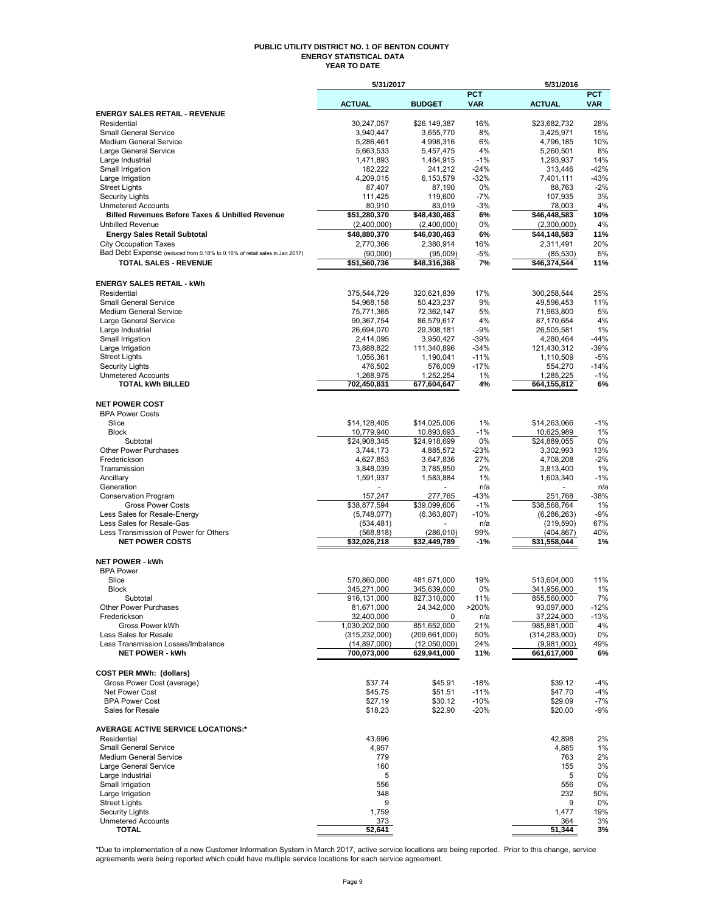#### **PUBLIC UTILITY DISTRICT NO. 1 OF BENTON COUNTY ENERGY STATISTICAL DATA YEAR TO DATE**

|                                                                                         | 5/31/2017                  |                            |                          | 5/31/2016                  |                          |
|-----------------------------------------------------------------------------------------|----------------------------|----------------------------|--------------------------|----------------------------|--------------------------|
|                                                                                         | <b>ACTUAL</b>              | <b>BUDGET</b>              | <b>PCT</b><br><b>VAR</b> | <b>ACTUAL</b>              | <b>PCT</b><br><b>VAR</b> |
| <b>ENERGY SALES RETAIL - REVENUE</b>                                                    |                            |                            |                          |                            |                          |
| Residential                                                                             | 30,247,057                 | \$26,149,387               | 16%                      | \$23,682,732               | 28%                      |
| <b>Small General Service</b>                                                            | 3,940,447                  | 3,655,770                  | 8%                       | 3,425,971                  | 15%                      |
| <b>Medium General Service</b>                                                           | 5,286,461                  | 4,998,316                  | 6%                       | 4,796,185                  | 10%                      |
| Large General Service<br>Large Industrial                                               | 5,663,533<br>1,471,893     | 5,457,475<br>1,484,915     | 4%<br>-1%                | 5,260,501<br>1,293,937     | 8%<br>14%                |
| Small Irrigation                                                                        | 182,222                    | 241,212                    | -24%                     | 313,446                    | $-42%$                   |
| Large Irrigation                                                                        | 4,209,015                  | 6,153,579                  | $-32%$                   | 7,401,111                  | $-43%$                   |
| <b>Street Lights</b>                                                                    | 87,407                     | 87,190                     | 0%                       | 88,763                     | $-2%$                    |
| <b>Security Lights</b>                                                                  | 111,425                    | 119,600                    | $-7%$                    | 107,935                    | 3%<br>4%                 |
| <b>Unmetered Accounts</b><br><b>Billed Revenues Before Taxes &amp; Unbilled Revenue</b> | 80,910<br>\$51,280,370     | 83,019<br>\$48,430,463     | $-3%$<br>6%              | 78,003<br>\$46,448,583     | 10%                      |
| <b>Unbilled Revenue</b>                                                                 | (2,400,000)                | (2,400,000)                | 0%                       | (2,300,000)                | 4%                       |
| <b>Energy Sales Retail Subtotal</b>                                                     | \$48,880,370               | \$46,030,463               | 6%                       | \$44,148,583               | 11%                      |
| <b>City Occupation Taxes</b>                                                            | 2,770,366                  | 2,380,914                  | 16%                      | 2,311,491                  | 20%                      |
| Bad Debt Expense (reduced from 0.18% to 0.16% of retail sales in Jan 2017)              | (90,000)                   | (95,009)                   | -5%                      | (85, 530)                  | 5%                       |
| <b>TOTAL SALES - REVENUE</b>                                                            | \$51,560,736               | \$48,316,368               | 7%                       | \$46,374,544               | 11%                      |
|                                                                                         |                            |                            |                          |                            |                          |
| <b>ENERGY SALES RETAIL - kWh</b><br>Residential                                         |                            | 320,621,839                | 17%                      |                            | 25%                      |
| <b>Small General Service</b>                                                            | 375,544,729<br>54,968,158  | 50,423,237                 | 9%                       | 300,258,544<br>49,596,453  | 11%                      |
| <b>Medium General Service</b>                                                           | 75,771,365                 | 72,362,147                 | 5%                       | 71,963,800                 | 5%                       |
| Large General Service                                                                   | 90,367,754                 | 86,579,617                 | 4%                       | 87,170,654                 | 4%                       |
| Large Industrial                                                                        | 26,694,070                 | 29,308,181                 | -9%                      | 26,505,581                 | 1%                       |
| Small Irrigation                                                                        | 2,414,095                  | 3,950,427                  | -39%                     | 4,280,464                  | -44%                     |
| Large Irrigation                                                                        | 73,888,822                 | 111,340,896                | $-34%$                   | 121,430,312                | $-39%$                   |
| <b>Street Lights</b><br><b>Security Lights</b>                                          | 1,056,361<br>476,502       | 1,190,041<br>576,009       | $-11%$<br>$-17%$         | 1,110,509<br>554,270       | $-5%$<br>$-14%$          |
| <b>Unmetered Accounts</b>                                                               | 1,268,975                  | 1,252,254                  | 1%                       | 1,285,225                  | $-1%$                    |
| <b>TOTAL kWh BILLED</b>                                                                 | 702,450,831                | 677,604,647                | 4%                       | 664,155,812                | 6%                       |
|                                                                                         |                            |                            |                          |                            |                          |
| <b>NET POWER COST</b>                                                                   |                            |                            |                          |                            |                          |
| <b>BPA Power Costs</b><br>Slice                                                         |                            |                            |                          |                            | $-1%$                    |
| <b>Block</b>                                                                            | \$14,128,405<br>10,779,940 | \$14,025,006<br>10,893,693 | 1%<br>$-1%$              | \$14,263,066<br>10,625,989 | 1%                       |
| Subtotal                                                                                | \$24,908,345               | \$24,918,699               | 0%                       | \$24,889,055               | 0%                       |
| <b>Other Power Purchases</b>                                                            | 3,744,173                  | 4,885,572                  | -23%                     | 3,302,993                  | 13%                      |
| Frederickson                                                                            | 4,627,853                  | 3,647,836                  | 27%                      | 4,708,208                  | $-2%$                    |
| Transmission                                                                            | 3,848,039                  | 3,785,850                  | 2%                       | 3,813,400                  | 1%                       |
| Ancillary                                                                               | 1,591,937                  | 1,583,884                  | 1%                       | 1,603,340                  | $-1%$                    |
| Generation<br><b>Conservation Program</b>                                               | 157,247                    | 277,765                    | n/a<br>-43%              | 251,768                    | n/a<br>$-38%$            |
| <b>Gross Power Costs</b>                                                                | \$38,877,594               | \$39,099,606               | $-1%$                    | \$38,568,764               | 1%                       |
| Less Sales for Resale-Energy                                                            | (5,748,077)                | (6, 363, 807)              | -10%                     | (6, 286, 263)              | $-9%$                    |
| Less Sales for Resale-Gas                                                               | (534, 481)                 |                            | n/a                      | (319, 590)                 | 67%                      |
| Less Transmission of Power for Others                                                   | (568, 818)                 | (286,010)                  | 99%                      | (404, 867)                 | 40%                      |
| <b>NET POWER COSTS</b>                                                                  | \$32,026,218               | \$32,449,789               | -1%                      | \$31.558.044               | 1%                       |
| <b>NET POWER - kWh</b>                                                                  |                            |                            |                          |                            |                          |
| <b>BPA Power</b>                                                                        |                            |                            |                          |                            |                          |
| Slice                                                                                   | 570,860,000                | 481,671,000                | 19%                      | 513,604,000                | 11%                      |
| <b>Block</b>                                                                            | 345,271,000                | 345,639,000                | 0%                       | 341,956,000                | 1%                       |
| Subtotal                                                                                | 916,131,000                | 827,310,000                | 11%                      | 855,560,000                | 7%                       |
| Other Power Purchases<br>Frederickson                                                   | 81,671,000<br>32,400,000   | 24,342,000<br>0            | >200%                    | 93,097,000<br>37,224,000   | $-12%$<br>$-13%$         |
| Gross Power kWh                                                                         | 1,030,202,000              | 851,652,000                | n/a<br>21%               | 985,881,000                | 4%                       |
| Less Sales for Resale                                                                   | (315, 232, 000)            | (209, 661, 000)            | 50%                      | (314, 283, 000)            | 0%                       |
| Less Transmission Losses/Imbalance                                                      | (14, 897, 000)             | (12,050,000)               | 24%                      | (9,981,000)                | 49%                      |
| <b>NET POWER - kWh</b>                                                                  | 700,073,000                | 629,941,000                | 11%                      | 661,617,000                | 6%                       |
|                                                                                         |                            |                            |                          |                            |                          |
| <b>COST PER MWh: (dollars)</b>                                                          |                            |                            |                          |                            |                          |
| Gross Power Cost (average)<br>Net Power Cost                                            | \$37.74<br>\$45.75         | \$45.91<br>\$51.51         | $-18%$<br>$-11%$         | \$39.12<br>\$47.70         | -4%<br>-4%               |
| <b>BPA Power Cost</b>                                                                   | \$27.19                    | \$30.12                    | $-10%$                   | \$29.09                    | -7%                      |
| Sales for Resale                                                                        | \$18.23                    | \$22.90                    | $-20%$                   | \$20.00                    | -9%                      |
|                                                                                         |                            |                            |                          |                            |                          |
| <b>AVERAGE ACTIVE SERVICE LOCATIONS:*</b><br>Residential                                | 43,696                     |                            |                          | 42,898                     | 2%                       |
| <b>Small General Service</b>                                                            | 4,957                      |                            |                          | 4,885                      | 1%                       |
| Medium General Service                                                                  | 779                        |                            |                          | 763                        | 2%                       |
| Large General Service                                                                   | 160                        |                            |                          | 155                        | 3%                       |
| Large Industrial                                                                        | 5                          |                            |                          | 5                          | 0%                       |
| Small Irrigation                                                                        | 556                        |                            |                          | 556                        | 0%                       |
| Large Irrigation                                                                        | 348<br>9                   |                            |                          | 232<br>9                   | 50%                      |
| <b>Street Lights</b><br><b>Security Lights</b>                                          | 1,759                      |                            |                          | 1,477                      | 0%<br>19%                |
| <b>Unmetered Accounts</b>                                                               | 373                        |                            |                          | 364                        | 3%                       |
| <b>TOTAL</b>                                                                            | 52,641                     |                            |                          | 51,344                     | 3%                       |

\*Due to implementation of a new Customer Information System in March 2017, active service locations are being reported. Prior to this change, service<br>agreements were being reported which could have multiple service locati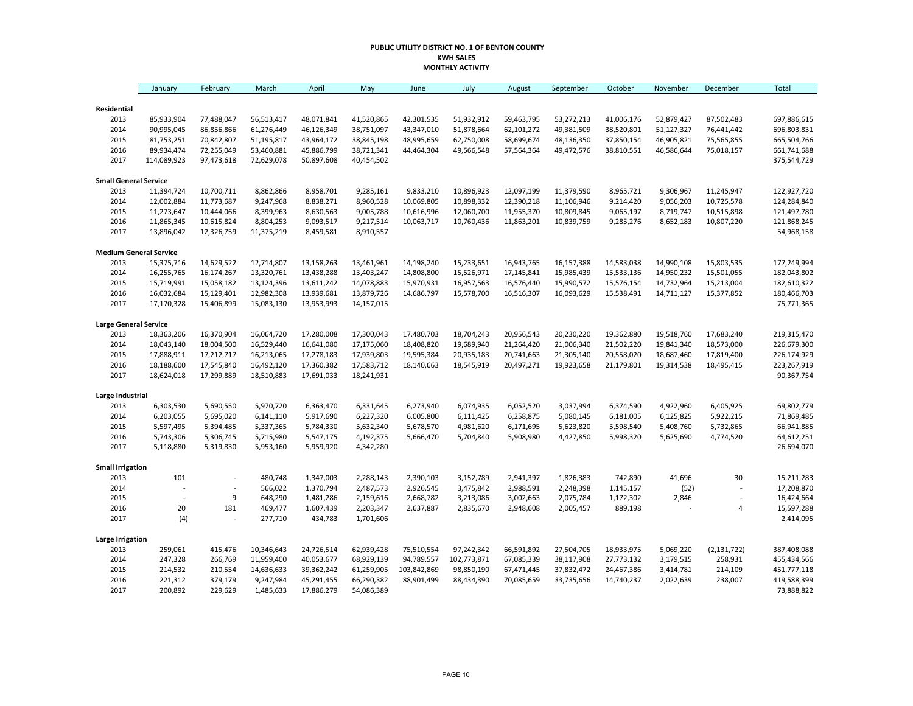#### **PUBLIC UTILITY DISTRICT NO. 1 OF BENTON COUNTY KWH SALES MONTHLY ACTIVITY**

|                               | January     | February                 | March      | April      | May        | June        | July        | August     | September  | October    | November   | December      | Total       |
|-------------------------------|-------------|--------------------------|------------|------------|------------|-------------|-------------|------------|------------|------------|------------|---------------|-------------|
| Residential                   |             |                          |            |            |            |             |             |            |            |            |            |               |             |
| 2013                          | 85,933,904  | 77,488,047               | 56,513,417 | 48,071,841 | 41,520,865 | 42,301,535  | 51,932,912  | 59,463,795 | 53,272,213 | 41,006,176 | 52,879,427 | 87,502,483    | 697,886,615 |
| 2014                          | 90,995,045  | 86,856,866               | 61,276,449 | 46,126,349 | 38,751,097 | 43,347,010  | 51,878,664  | 62,101,272 | 49,381,509 | 38,520,801 | 51,127,327 | 76,441,442    | 696,803,831 |
| 2015                          | 81,753,251  | 70,842,807               | 51,195,817 | 43,964,172 | 38,845,198 | 48,995,659  | 62,750,008  | 58,699,674 | 48,136,350 | 37,850,154 | 46,905,821 | 75,565,855    | 665,504,766 |
| 2016                          | 89,934,474  | 72,255,049               | 53,460,881 | 45,886,799 | 38,721,341 | 44,464,304  | 49,566,548  | 57,564,364 | 49,472,576 | 38,810,551 | 46,586,644 | 75,018,157    | 661,741,688 |
| 2017                          | 114,089,923 | 97,473,618               | 72,629,078 | 50,897,608 | 40,454,502 |             |             |            |            |            |            |               | 375,544,729 |
| <b>Small General Service</b>  |             |                          |            |            |            |             |             |            |            |            |            |               |             |
| 2013                          | 11,394,724  | 10,700,711               | 8,862,866  | 8,958,701  | 9,285,161  | 9,833,210   | 10,896,923  | 12,097,199 | 11,379,590 | 8,965,721  | 9,306,967  | 11,245,947    | 122,927,720 |
| 2014                          | 12,002,884  | 11,773,687               | 9,247,968  | 8,838,271  | 8,960,528  | 10,069,805  | 10,898,332  | 12,390,218 | 11,106,946 | 9,214,420  | 9,056,203  | 10,725,578    | 124,284,840 |
| 2015                          | 11,273,647  | 10,444,066               | 8,399,963  | 8,630,563  | 9,005,788  | 10,616,996  | 12,060,700  | 11,955,370 | 10,809,845 | 9,065,197  | 8,719,747  | 10,515,898    | 121,497,780 |
| 2016                          | 11,865,345  | 10,615,824               | 8,804,253  | 9,093,517  | 9,217,514  | 10,063,717  | 10,760,436  | 11,863,201 | 10,839,759 | 9,285,276  | 8,652,183  | 10,807,220    | 121,868,245 |
| 2017                          | 13,896,042  | 12,326,759               | 11,375,219 | 8,459,581  | 8,910,557  |             |             |            |            |            |            |               | 54,968,158  |
| <b>Medium General Service</b> |             |                          |            |            |            |             |             |            |            |            |            |               |             |
| 2013                          | 15,375,716  | 14,629,522               | 12,714,807 | 13,158,263 | 13,461,961 | 14,198,240  | 15,233,651  | 16,943,765 | 16,157,388 | 14,583,038 | 14,990,108 | 15,803,535    | 177,249,994 |
| 2014                          | 16,255,765  | 16,174,267               | 13,320,761 | 13,438,288 | 13,403,247 | 14,808,800  | 15,526,971  | 17,145,841 | 15,985,439 | 15,533,136 | 14,950,232 | 15,501,055    | 182,043,802 |
| 2015                          | 15,719,991  | 15,058,182               | 13,124,396 | 13,611,242 | 14,078,883 | 15,970,931  | 16,957,563  | 16,576,440 | 15,990,572 | 15,576,154 | 14,732,964 | 15,213,004    | 182,610,322 |
| 2016                          | 16,032,684  | 15,129,401               | 12,982,308 | 13,939,681 | 13,879,726 | 14,686,797  | 15,578,700  | 16,516,307 | 16,093,629 | 15,538,491 | 14,711,127 | 15,377,852    | 180,466,703 |
| 2017                          | 17,170,328  | 15,406,899               | 15,083,130 | 13,953,993 | 14,157,015 |             |             |            |            |            |            |               | 75,771,365  |
| <b>Large General Service</b>  |             |                          |            |            |            |             |             |            |            |            |            |               |             |
| 2013                          | 18,363,206  | 16,370,904               | 16,064,720 | 17,280,008 | 17,300,043 | 17,480,703  | 18,704,243  | 20,956,543 | 20,230,220 | 19,362,880 | 19,518,760 | 17,683,240    | 219,315,470 |
| 2014                          | 18,043,140  | 18,004,500               | 16,529,440 | 16,641,080 | 17,175,060 | 18,408,820  | 19,689,940  | 21,264,420 | 21,006,340 | 21,502,220 | 19,841,340 | 18,573,000    | 226,679,300 |
| 2015                          | 17,888,911  | 17,212,717               | 16,213,065 | 17,278,183 | 17,939,803 | 19,595,384  | 20,935,183  | 20,741,663 | 21,305,140 | 20,558,020 | 18,687,460 | 17,819,400    | 226,174,929 |
| 2016                          | 18,188,600  | 17,545,840               | 16,492,120 | 17,360,382 | 17,583,712 | 18,140,663  | 18,545,919  | 20,497,271 | 19,923,658 | 21,179,801 | 19,314,538 | 18,495,415    | 223,267,919 |
| 2017                          | 18,624,018  | 17,299,889               | 18,510,883 | 17,691,033 | 18,241,931 |             |             |            |            |            |            |               | 90,367,754  |
| Large Industrial              |             |                          |            |            |            |             |             |            |            |            |            |               |             |
| 2013                          | 6,303,530   | 5,690,550                | 5,970,720  | 6,363,470  | 6,331,645  | 6,273,940   | 6,074,935   | 6,052,520  | 3,037,994  | 6,374,590  | 4,922,960  | 6,405,925     | 69,802,779  |
| 2014                          | 6,203,055   | 5,695,020                | 6,141,110  | 5,917,690  | 6,227,320  | 6,005,800   | 6,111,425   | 6,258,875  | 5,080,145  | 6,181,005  | 6,125,825  | 5,922,215     | 71,869,485  |
| 2015                          | 5,597,495   | 5,394,485                | 5,337,365  | 5,784,330  | 5,632,340  | 5,678,570   | 4,981,620   | 6,171,695  | 5,623,820  | 5,598,540  | 5,408,760  | 5,732,865     | 66,941,885  |
| 2016                          | 5,743,306   | 5,306,745                | 5,715,980  | 5,547,175  | 4,192,375  | 5,666,470   | 5,704,840   | 5,908,980  | 4,427,850  | 5,998,320  | 5,625,690  | 4,774,520     | 64,612,251  |
| 2017                          | 5,118,880   | 5,319,830                | 5,953,160  | 5,959,920  | 4,342,280  |             |             |            |            |            |            |               | 26,694,070  |
| <b>Small Irrigation</b>       |             |                          |            |            |            |             |             |            |            |            |            |               |             |
| 2013                          | 101         | $\overline{a}$           | 480,748    | 1,347,003  | 2,288,143  | 2,390,103   | 3,152,789   | 2,941,397  | 1,826,383  | 742,890    | 41,696     | 30            | 15,211,283  |
| 2014                          |             |                          | 566,022    | 1,370,794  | 2,487,573  | 2,926,545   | 3,475,842   | 2,988,591  | 2,248,398  | 1,145,157  | (52)       |               | 17,208,870  |
| 2015                          | ÷           | 9                        | 648,290    | 1,481,286  | 2,159,616  | 2,668,782   | 3,213,086   | 3,002,663  | 2,075,784  | 1,172,302  | 2,846      | ÷,            | 16,424,664  |
| 2016                          | 20          | 181                      | 469,477    | 1,607,439  | 2,203,347  | 2,637,887   | 2,835,670   | 2,948,608  | 2,005,457  | 889,198    |            | $\sqrt{4}$    | 15,597,288  |
| 2017                          | (4)         | $\overline{\phantom{a}}$ | 277,710    | 434,783    | 1,701,606  |             |             |            |            |            |            |               | 2,414,095   |
| <b>Large Irrigation</b>       |             |                          |            |            |            |             |             |            |            |            |            |               |             |
| 2013                          | 259,061     | 415,476                  | 10,346,643 | 24,726,514 | 62,939,428 | 75,510,554  | 97,242,342  | 66,591,892 | 27,504,705 | 18,933,975 | 5,069,220  | (2, 131, 722) | 387,408,088 |
| 2014                          | 247,328     | 266,769                  | 11,959,400 | 40,053,677 | 68,929,139 | 94,789,557  | 102,773,871 | 67,085,339 | 38,117,908 | 27,773,132 | 3,179,515  | 258,931       | 455,434,566 |
| 2015                          | 214,532     | 210,554                  | 14,636,633 | 39,362,242 | 61,259,905 | 103,842,869 | 98,850,190  | 67,471,445 | 37,832,472 | 24,467,386 | 3,414,781  | 214,109       | 451,777,118 |
| 2016                          | 221,312     | 379,179                  | 9,247,984  | 45,291,455 | 66,290,382 | 88,901,499  | 88,434,390  | 70,085,659 | 33,735,656 | 14,740,237 | 2,022,639  | 238,007       | 419,588,399 |
| 2017                          | 200,892     | 229,629                  | 1,485,633  | 17,886,279 | 54,086,389 |             |             |            |            |            |            |               | 73,888,822  |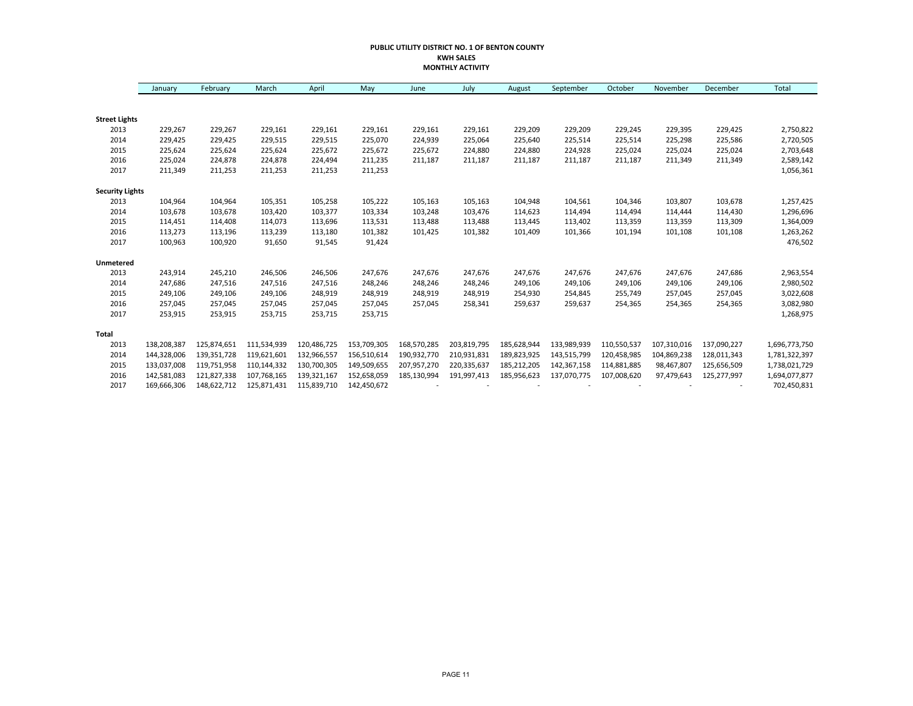#### **PUBLIC UTILITY DISTRICT NO. 1 OF BENTON COUNTY KWH SALES MONTHLY ACTIVITY**

|                        | January     | February    | March       | April       | May         | June        | July        | August      | September   | October     | November    | December    | Total         |
|------------------------|-------------|-------------|-------------|-------------|-------------|-------------|-------------|-------------|-------------|-------------|-------------|-------------|---------------|
|                        |             |             |             |             |             |             |             |             |             |             |             |             |               |
| <b>Street Lights</b>   |             |             |             |             |             |             |             |             |             |             |             |             |               |
| 2013                   | 229,267     | 229,267     | 229,161     | 229,161     | 229,161     | 229,161     | 229,161     | 229,209     | 229,209     | 229,245     | 229,395     | 229,425     | 2,750,822     |
| 2014                   | 229,425     | 229,425     | 229,515     | 229,515     | 225,070     | 224,939     | 225,064     | 225,640     | 225,514     | 225,514     | 225,298     | 225,586     | 2,720,505     |
| 2015                   | 225,624     | 225,624     | 225,624     | 225,672     | 225,672     | 225,672     | 224,880     | 224,880     | 224,928     | 225,024     | 225,024     | 225,024     | 2,703,648     |
| 2016                   | 225,024     | 224,878     | 224,878     | 224,494     | 211,235     | 211,187     | 211,187     | 211,187     | 211,187     | 211,187     | 211,349     | 211,349     | 2,589,142     |
| 2017                   | 211,349     | 211,253     | 211,253     | 211,253     | 211,253     |             |             |             |             |             |             |             | 1,056,361     |
| <b>Security Lights</b> |             |             |             |             |             |             |             |             |             |             |             |             |               |
| 2013                   | 104,964     | 104,964     | 105,351     | 105,258     | 105,222     | 105,163     | 105,163     | 104,948     | 104,561     | 104,346     | 103,807     | 103,678     | 1,257,425     |
| 2014                   | 103,678     | 103,678     | 103,420     | 103,377     | 103,334     | 103,248     | 103,476     | 114,623     | 114,494     | 114,494     | 114,444     | 114,430     | 1,296,696     |
| 2015                   | 114,451     | 114,408     | 114,073     | 113,696     | 113,531     | 113,488     | 113,488     | 113,445     | 113,402     | 113,359     | 113,359     | 113,309     | 1,364,009     |
| 2016                   | 113,273     | 113,196     | 113,239     | 113,180     | 101,382     | 101,425     | 101,382     | 101,409     | 101,366     | 101,194     | 101,108     | 101,108     | 1,263,262     |
| 2017                   | 100,963     | 100,920     | 91,650      | 91,545      | 91,424      |             |             |             |             |             |             |             | 476,502       |
| Unmetered              |             |             |             |             |             |             |             |             |             |             |             |             |               |
| 2013                   | 243,914     | 245,210     | 246,506     | 246,506     | 247,676     | 247,676     | 247,676     | 247,676     | 247,676     | 247,676     | 247,676     | 247,686     | 2,963,554     |
| 2014                   | 247,686     | 247,516     | 247,516     | 247,516     | 248,246     | 248,246     | 248,246     | 249,106     | 249,106     | 249,106     | 249,106     | 249,106     | 2,980,502     |
| 2015                   | 249,106     | 249,106     | 249,106     | 248,919     | 248,919     | 248,919     | 248,919     | 254,930     | 254,845     | 255,749     | 257,045     | 257,045     | 3,022,608     |
| 2016                   | 257,045     | 257,045     | 257,045     | 257,045     | 257,045     | 257,045     | 258,341     | 259,637     | 259,637     | 254,365     | 254,365     | 254,365     | 3,082,980     |
| 2017                   | 253,915     | 253,915     | 253,715     | 253,715     | 253,715     |             |             |             |             |             |             |             | 1,268,975     |
| <b>Total</b>           |             |             |             |             |             |             |             |             |             |             |             |             |               |
| 2013                   | 138,208,387 | 125,874,651 | 111,534,939 | 120,486,725 | 153,709,305 | 168,570,285 | 203,819,795 | 185,628,944 | 133,989,939 | 110,550,537 | 107,310,016 | 137,090,227 | 1,696,773,750 |
| 2014                   | 144,328,006 | 139,351,728 | 119,621,601 | 132,966,557 | 156,510,614 | 190,932,770 | 210,931,831 | 189,823,925 | 143,515,799 | 120,458,985 | 104,869,238 | 128,011,343 | 1,781,322,397 |
| 2015                   | 133,037,008 | 119,751,958 | 110,144,332 | 130,700,305 | 149,509,655 | 207,957,270 | 220,335,637 | 185,212,205 | 142,367,158 | 114,881,885 | 98,467,807  | 125,656,509 | 1,738,021,729 |
| 2016                   | 142,581,083 | 121,827,338 | 107,768,165 | 139,321,167 | 152,658,059 | 185,130,994 | 191,997,413 | 185,956,623 | 137,070,775 | 107,008,620 | 97,479,643  | 125,277,997 | 1,694,077,877 |
| 2017                   | 169,666,306 | 148,622,712 | 125,871,431 | 115,839,710 | 142,450,672 |             |             |             |             |             |             |             | 702,450,831   |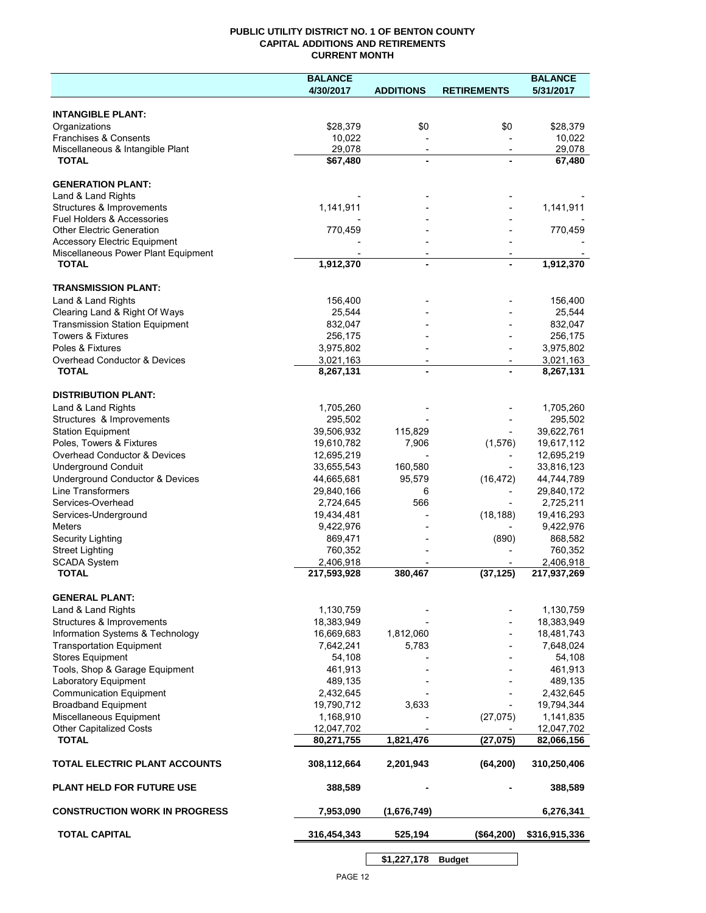## **PUBLIC UTILITY DISTRICT NO. 1 OF BENTON COUNTY CAPITAL ADDITIONS AND RETIREMENTS CURRENT MONTH**

|                                                     | <b>BALANCE</b>           |                                            |                          | <b>BALANCE</b> |
|-----------------------------------------------------|--------------------------|--------------------------------------------|--------------------------|----------------|
|                                                     | 4/30/2017                | <b>ADDITIONS</b>                           | <b>RETIREMENTS</b>       | 5/31/2017      |
| <b>INTANGIBLE PLANT:</b>                            |                          |                                            |                          |                |
| Organizations                                       | \$28,379                 | \$0                                        | \$0                      | \$28,379       |
| Franchises & Consents                               | 10,022                   |                                            |                          | 10,022         |
| Miscellaneous & Intangible Plant                    | 29,078                   | $\overline{\phantom{a}}$                   | $\overline{\phantom{a}}$ | 29,078         |
| <b>TOTAL</b>                                        | \$67,480                 |                                            |                          | 67,480         |
| <b>GENERATION PLANT:</b>                            |                          |                                            |                          |                |
| Land & Land Rights                                  |                          |                                            |                          |                |
| Structures & Improvements                           | 1,141,911                |                                            |                          | 1,141,911      |
| <b>Fuel Holders &amp; Accessories</b>               |                          |                                            |                          |                |
| <b>Other Electric Generation</b>                    | 770,459                  |                                            |                          | 770,459        |
| <b>Accessory Electric Equipment</b>                 |                          |                                            |                          |                |
| Miscellaneous Power Plant Equipment<br><b>TOTAL</b> | 1,912,370                | $\overline{\phantom{a}}$<br>$\blacksquare$ |                          | 1,912,370      |
|                                                     |                          |                                            |                          |                |
| <b>TRANSMISSION PLANT:</b>                          |                          |                                            |                          |                |
| Land & Land Rights                                  | 156,400                  |                                            |                          | 156,400        |
| Clearing Land & Right Of Ways                       | 25,544                   |                                            |                          | 25,544         |
| <b>Transmission Station Equipment</b>               | 832,047                  |                                            |                          | 832,047        |
| <b>Towers &amp; Fixtures</b>                        | 256,175                  |                                            |                          | 256,175        |
| Poles & Fixtures                                    | 3,975,802                |                                            |                          | 3,975,802      |
| Overhead Conductor & Devices                        | 3,021,163                |                                            |                          | 3,021,163      |
| <b>TOTAL</b>                                        | 8,267,131                |                                            |                          | 8,267,131      |
| <b>DISTRIBUTION PLANT:</b>                          |                          |                                            |                          |                |
| Land & Land Rights                                  | 1,705,260                |                                            |                          | 1,705,260      |
| Structures & Improvements                           | 295,502                  |                                            |                          | 295,502        |
| <b>Station Equipment</b>                            | 39,506,932               | 115,829                                    |                          | 39,622,761     |
| Poles, Towers & Fixtures                            | 19,610,782               | 7,906                                      | (1,576)                  | 19,617,112     |
| Overhead Conductor & Devices                        | 12,695,219               |                                            |                          | 12,695,219     |
| <b>Underground Conduit</b>                          | 33,655,543               | 160,580                                    |                          | 33,816,123     |
| Underground Conductor & Devices                     | 44,665,681               | 95,579                                     | (16, 472)                | 44,744,789     |
| <b>Line Transformers</b>                            | 29,840,166               | 6                                          |                          | 29,840,172     |
| Services-Overhead                                   | 2,724,645                | 566                                        |                          | 2,725,211      |
| Services-Underground                                | 19,434,481               |                                            | (18, 188)                | 19,416,293     |
| Meters                                              | 9,422,976                |                                            |                          | 9,422,976      |
| Security Lighting                                   | 869,471                  |                                            | (890)                    | 868,582        |
| <b>Street Lighting</b>                              | 760,352                  |                                            |                          | 760,352        |
| <b>SCADA System</b><br><b>TOTAL</b>                 | 2,406,918<br>217,593,928 |                                            |                          | 2,406,918      |
|                                                     |                          | 380,467                                    | (37, 125)                | 217,937,269    |
| <b>GENERAL PLANT:</b>                               |                          |                                            |                          |                |
| Land & Land Rights                                  | 1,130,759                |                                            |                          | 1,130,759      |
| Structures & Improvements                           | 18,383,949               |                                            |                          | 18,383,949     |
| Information Systems & Technology                    | 16,669,683               | 1,812,060                                  |                          | 18,481,743     |
| <b>Transportation Equipment</b>                     | 7,642,241                | 5,783                                      |                          | 7,648,024      |
| <b>Stores Equipment</b>                             | 54,108                   |                                            |                          | 54,108         |
| Tools, Shop & Garage Equipment                      | 461,913                  |                                            |                          | 461,913        |
| Laboratory Equipment                                | 489,135                  |                                            |                          | 489,135        |
| <b>Communication Equipment</b>                      | 2,432,645                |                                            |                          | 2,432,645      |
| <b>Broadband Equipment</b>                          | 19,790,712               | 3,633                                      |                          | 19,794,344     |
| Miscellaneous Equipment                             | 1,168,910                |                                            | (27, 075)                | 1,141,835      |
| <b>Other Capitalized Costs</b>                      | 12,047,702               |                                            |                          | 12,047,702     |
| <b>TOTAL</b>                                        | 80,271,755               | 1,821,476                                  | (27, 075)                | 82,066,156     |
| TOTAL ELECTRIC PLANT ACCOUNTS                       | 308,112,664              | 2,201,943                                  | (64, 200)                | 310,250,406    |
| <b>PLANT HELD FOR FUTURE USE</b>                    | 388,589                  |                                            |                          | 388,589        |
| <b>CONSTRUCTION WORK IN PROGRESS</b>                | 7,953,090                | (1,676,749)                                |                          | 6,276,341      |
| <b>TOTAL CAPITAL</b>                                | 316,454,343              | 525,194                                    | (\$64,200)               | \$316,915,336  |
|                                                     |                          |                                            |                          |                |

**\$1,227,178 Budget**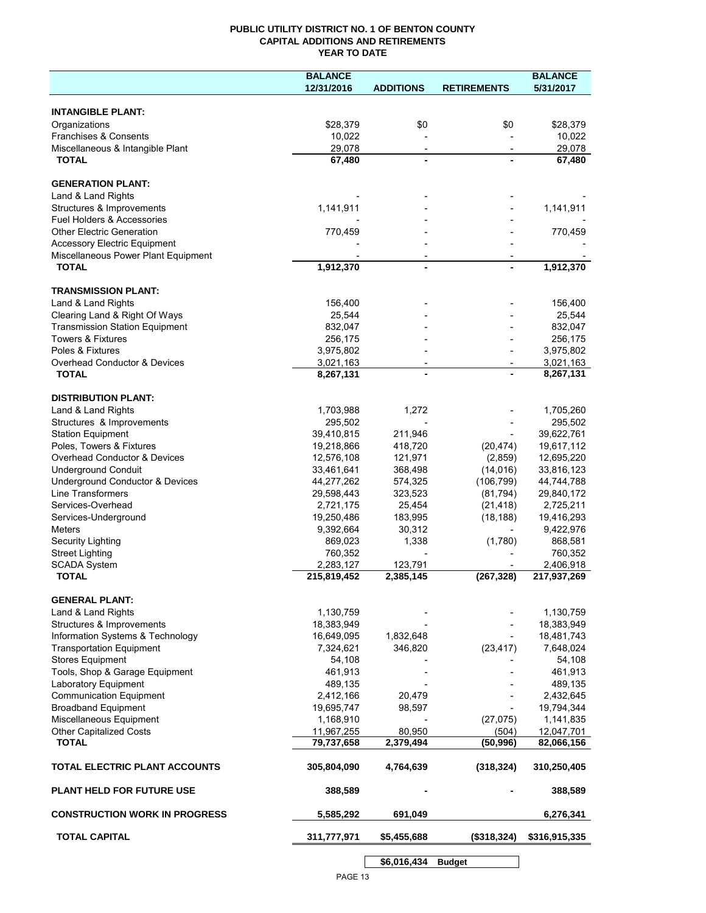## **PUBLIC UTILITY DISTRICT NO. 1 OF BENTON COUNTY CAPITAL ADDITIONS AND RETIREMENTS YEAR TO DATE**

|                                                                            | <b>BALANCE</b> |                          |                    | <b>BALANCE</b> |
|----------------------------------------------------------------------------|----------------|--------------------------|--------------------|----------------|
|                                                                            | 12/31/2016     | <b>ADDITIONS</b>         | <b>RETIREMENTS</b> | 5/31/2017      |
|                                                                            |                |                          |                    |                |
| <b>INTANGIBLE PLANT:</b>                                                   |                |                          |                    |                |
| Organizations                                                              | \$28,379       | \$0                      | \$0                | \$28,379       |
| Franchises & Consents                                                      | 10,022         |                          |                    | 10,022         |
| Miscellaneous & Intangible Plant                                           | 29,078         | $\overline{\phantom{a}}$ |                    | 29,078         |
| <b>TOTAL</b>                                                               | 67,480         |                          |                    | 67,480         |
|                                                                            |                |                          |                    |                |
| <b>GENERATION PLANT:</b>                                                   |                |                          |                    |                |
| Land & Land Rights                                                         |                |                          |                    |                |
| Structures & Improvements                                                  | 1,141,911      |                          |                    | 1,141,911      |
| <b>Fuel Holders &amp; Accessories</b>                                      |                |                          |                    |                |
| <b>Other Electric Generation</b>                                           | 770,459        |                          |                    | 770,459        |
| <b>Accessory Electric Equipment</b><br>Miscellaneous Power Plant Equipment |                |                          |                    |                |
| <b>TOTAL</b>                                                               | 1,912,370      |                          | $\blacksquare$     | 1,912,370      |
|                                                                            |                |                          |                    |                |
| <b>TRANSMISSION PLANT:</b>                                                 |                |                          |                    |                |
| Land & Land Rights                                                         | 156,400        |                          |                    | 156,400        |
| Clearing Land & Right Of Ways                                              | 25,544         |                          |                    | 25,544         |
| <b>Transmission Station Equipment</b>                                      | 832,047        |                          |                    | 832,047        |
| Towers & Fixtures                                                          | 256,175        |                          |                    | 256,175        |
| Poles & Fixtures                                                           | 3,975,802      |                          |                    | 3,975,802      |
| Overhead Conductor & Devices                                               | 3,021,163      | $\overline{\phantom{a}}$ |                    | 3,021,163      |
| <b>TOTAL</b>                                                               | 8,267,131      |                          |                    | 8,267,131      |
|                                                                            |                |                          |                    |                |
| <b>DISTRIBUTION PLANT:</b>                                                 |                |                          |                    |                |
| Land & Land Rights                                                         | 1,703,988      | 1,272                    |                    | 1,705,260      |
| Structures & Improvements                                                  | 295,502        |                          |                    | 295,502        |
| <b>Station Equipment</b>                                                   | 39,410,815     | 211,946                  |                    | 39,622,761     |
| Poles, Towers & Fixtures                                                   | 19,218,866     | 418,720                  | (20, 474)          | 19,617,112     |
| Overhead Conductor & Devices                                               | 12,576,108     | 121,971                  | (2,859)            | 12,695,220     |
| <b>Underground Conduit</b>                                                 | 33,461,641     | 368,498                  | (14, 016)          | 33,816,123     |
| Underground Conductor & Devices                                            | 44,277,262     | 574,325                  | (106, 799)         | 44,744,788     |
| Line Transformers                                                          | 29,598,443     | 323,523                  | (81, 794)          | 29,840,172     |
| Services-Overhead                                                          | 2,721,175      | 25,454                   | (21, 418)          | 2,725,211      |
| Services-Underground                                                       | 19,250,486     | 183,995                  | (18, 188)          | 19,416,293     |
| <b>Meters</b>                                                              | 9,392,664      | 30,312                   |                    | 9,422,976      |
| <b>Security Lighting</b>                                                   | 869,023        | 1,338                    | (1,780)            | 868,581        |
| <b>Street Lighting</b>                                                     | 760,352        |                          |                    | 760,352        |
| <b>SCADA System</b>                                                        | 2,283,127      | 123,791                  |                    | 2,406,918      |
| <b>TOTAL</b>                                                               | 215,819,452    | 2,385,145                | (267, 328)         | 217,937,269    |
|                                                                            |                |                          |                    |                |
| <b>GENERAL PLANT:</b>                                                      |                |                          |                    |                |
| Land & Land Rights                                                         | 1,130,759      |                          |                    | 1,130,759      |
| Structures & Improvements                                                  | 18,383,949     |                          |                    | 18,383,949     |
| Information Systems & Technology                                           | 16,649,095     | 1,832,648                |                    | 18,481,743     |
| <b>Transportation Equipment</b>                                            | 7,324,621      | 346,820                  | (23, 417)          | 7,648,024      |
| <b>Stores Equipment</b>                                                    | 54,108         |                          |                    | 54,108         |
| Tools, Shop & Garage Equipment                                             | 461,913        |                          |                    | 461,913        |
| Laboratory Equipment                                                       | 489,135        |                          |                    | 489,135        |
| <b>Communication Equipment</b>                                             | 2,412,166      | 20,479                   |                    | 2,432,645      |
| <b>Broadband Equipment</b>                                                 | 19,695,747     | 98,597                   |                    | 19,794,344     |
| Miscellaneous Equipment                                                    | 1,168,910      |                          | (27, 075)          | 1,141,835      |
| <b>Other Capitalized Costs</b>                                             | 11,967,255     | 80,950                   | (504)              | 12,047,701     |
| <b>TOTAL</b>                                                               | 79,737,658     | 2,379,494                | (50, 996)          | 82,066,156     |
| TOTAL ELECTRIC PLANT ACCOUNTS                                              | 305,804,090    | 4,764,639                | (318, 324)         | 310,250,405    |
| <b>PLANT HELD FOR FUTURE USE</b>                                           | 388,589        |                          |                    | 388,589        |
| <b>CONSTRUCTION WORK IN PROGRESS</b>                                       | 5,585,292      | 691,049                  |                    | 6,276,341      |
| <b>TOTAL CAPITAL</b>                                                       | 311,777,971    | \$5,455,688              | (\$318,324)        | \$316,915,335  |
|                                                                            |                |                          |                    |                |
|                                                                            |                | \$6,016,434              | <b>Budget</b>      |                |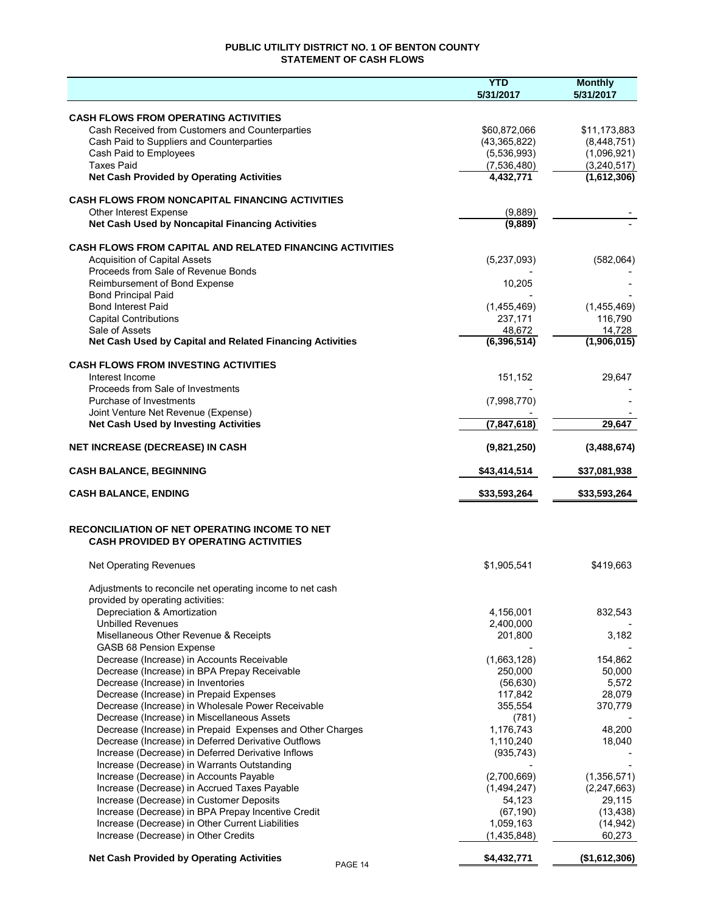## **PUBLIC UTILITY DISTRICT NO. 1 OF BENTON COUNTY STATEMENT OF CASH FLOWS**

|                                                                                                        | <b>YTD</b><br>5/31/2017 | <b>Monthly</b><br>5/31/2017 |
|--------------------------------------------------------------------------------------------------------|-------------------------|-----------------------------|
|                                                                                                        |                         |                             |
| <b>CASH FLOWS FROM OPERATING ACTIVITIES</b><br>Cash Received from Customers and Counterparties         | \$60,872,066            |                             |
| Cash Paid to Suppliers and Counterparties                                                              | (43,365,822)            | \$11,173,883<br>(8,448,751) |
| Cash Paid to Employees                                                                                 | (5,536,993)             | (1,096,921)                 |
| <b>Taxes Paid</b>                                                                                      | (7,536,480)             | (3, 240, 517)               |
| <b>Net Cash Provided by Operating Activities</b>                                                       | 4,432,771               | (1,612,306)                 |
| <b>CASH FLOWS FROM NONCAPITAL FINANCING ACTIVITIES</b>                                                 |                         |                             |
| Other Interest Expense                                                                                 | (9,889)                 |                             |
| Net Cash Used by Noncapital Financing Activities                                                       | (9,889)                 |                             |
| <b>CASH FLOWS FROM CAPITAL AND RELATED FINANCING ACTIVITIES</b>                                        |                         |                             |
| <b>Acquisition of Capital Assets</b>                                                                   | (5,237,093)             | (582,064)                   |
| Proceeds from Sale of Revenue Bonds                                                                    |                         |                             |
| Reimbursement of Bond Expense                                                                          | 10,205                  |                             |
| <b>Bond Principal Paid</b>                                                                             |                         |                             |
| <b>Bond Interest Paid</b>                                                                              | (1,455,469)             | (1,455,469)                 |
| <b>Capital Contributions</b>                                                                           | 237,171                 | 116,790                     |
| Sale of Assets                                                                                         | 48,672                  | 14,728                      |
| Net Cash Used by Capital and Related Financing Activities                                              | (6,396,514)             | (1,906,015)                 |
| <b>CASH FLOWS FROM INVESTING ACTIVITIES</b>                                                            |                         |                             |
| Interest Income                                                                                        | 151,152                 | 29.647                      |
| Proceeds from Sale of Investments<br>Purchase of Investments                                           | (7,998,770)             |                             |
| Joint Venture Net Revenue (Expense)                                                                    |                         |                             |
| <b>Net Cash Used by Investing Activities</b>                                                           | (7,847,618)             | 29,647                      |
| <b>NET INCREASE (DECREASE) IN CASH</b>                                                                 | (9,821,250)             | (3,488,674)                 |
| <b>CASH BALANCE, BEGINNING</b>                                                                         | \$43,414,514            | \$37,081,938                |
| <b>CASH BALANCE, ENDING</b>                                                                            | \$33,593,264            | \$33,593,264                |
| <b>RECONCILIATION OF NET OPERATING INCOME TO NET</b><br><b>CASH PROVIDED BY OPERATING ACTIVITIES</b>   |                         |                             |
| <b>Net Operating Revenues</b>                                                                          | \$1,905,541             | \$419,663                   |
| Adjustments to reconcile net operating income to net cash                                              |                         |                             |
| provided by operating activities:                                                                      |                         |                             |
| Depreciation & Amortization                                                                            | 4,156,001               | 832,543                     |
| <b>Unbilled Revenues</b>                                                                               | 2,400,000               |                             |
| Misellaneous Other Revenue & Receipts                                                                  | 201,800                 | 3,182                       |
| <b>GASB 68 Pension Expense</b>                                                                         |                         |                             |
| Decrease (Increase) in Accounts Receivable                                                             | (1,663,128)             | 154,862                     |
| Decrease (Increase) in BPA Prepay Receivable                                                           | 250,000                 | 50,000                      |
| Decrease (Increase) in Inventories                                                                     | (56, 630)<br>117,842    | 5,572<br>28,079             |
| Decrease (Increase) in Prepaid Expenses<br>Decrease (Increase) in Wholesale Power Receivable           | 355,554                 | 370,779                     |
| Decrease (Increase) in Miscellaneous Assets                                                            | (781)                   |                             |
| Decrease (Increase) in Prepaid Expenses and Other Charges                                              | 1,176,743               | 48,200                      |
| Decrease (Increase) in Deferred Derivative Outflows                                                    | 1,110,240               | 18,040                      |
| Increase (Decrease) in Deferred Derivative Inflows                                                     | (935, 743)              |                             |
| Increase (Decrease) in Warrants Outstanding                                                            |                         |                             |
| Increase (Decrease) in Accounts Payable                                                                | (2,700,669)             | (1,356,571)                 |
| Increase (Decrease) in Accrued Taxes Payable                                                           | (1,494,247)             | (2, 247, 663)               |
| Increase (Decrease) in Customer Deposits                                                               | 54,123                  | 29,115                      |
| Increase (Decrease) in BPA Prepay Incentive Credit<br>Increase (Decrease) in Other Current Liabilities | (67, 190)<br>1,059,163  | (13, 438)                   |
| Increase (Decrease) in Other Credits                                                                   | (1,435,848)             | (14, 942)<br>60,273         |
| <b>Net Cash Provided by Operating Activities</b>                                                       | \$4,432,771             | (\$1,612,306)               |
| PAGE 14                                                                                                |                         |                             |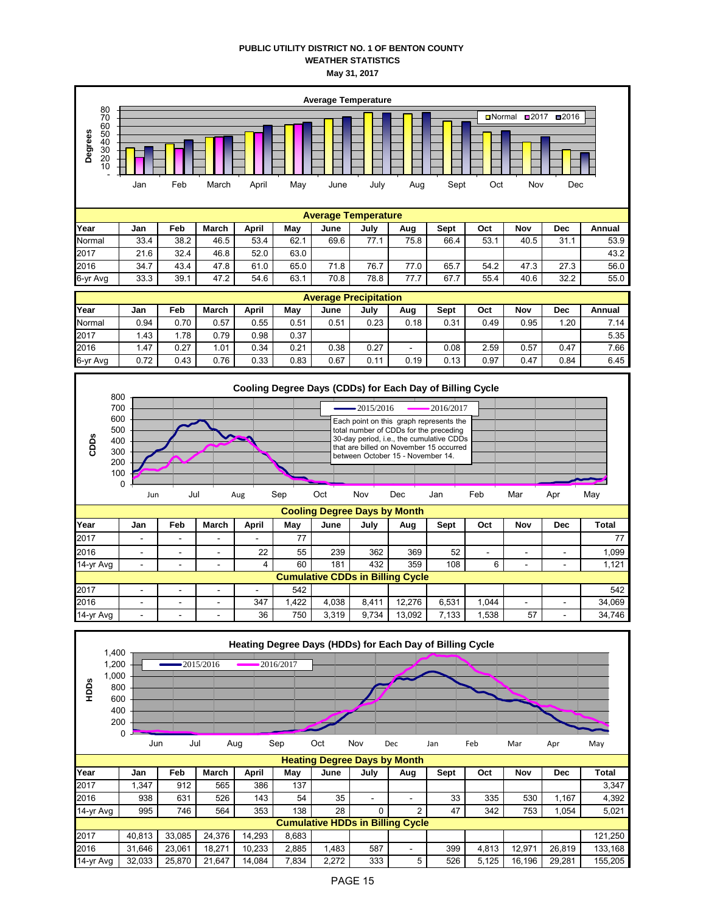## **PUBLIC UTILITY DISTRICT NO. 1 OF BENTON COUNTY WEATHER STATISTICS May 31, 2017**



| Year     | Jan  | Feb  | March | April | Mav  | June | July     | Aug  | <b>Sept</b> | Oct  | Nov  | Dec  | Annual |
|----------|------|------|-------|-------|------|------|----------|------|-------------|------|------|------|--------|
| Normal   | 0.94 | 0.70 | 0.57  | 0.55  | 0.51 | 0.51 | 0.23     | 0.18 | 0.31        | 0.49 | 0.95 | . 20 | 7.14   |
| 2017     | . 43 | .78  | 0.79  | 0.98  | 0.37 |      |          |      |             |      |      |      | 5.35   |
| 2016     | . 47 | 0.27 | 1.01  | 0.34  | 0.21 | 0.38 | 0.27     | -    | 0.08        | 2.59 | 0.57 | 0.47 | 7.66   |
| 6-yr Avg | 0.72 | 0.43 | 0.76  | 0.33  | 0.83 | 0.67 | -1<br>v. | 0.19 | 0.13        | 0.97 | 0.47 | 0.84 | 6.45   |



| 14-yr Avg | $\overline{\phantom{0}}$                | -                        | -                        |     | 60   | 181   | 432   | 359    | 108   |       |                          |   | 1.121  |
|-----------|-----------------------------------------|--------------------------|--------------------------|-----|------|-------|-------|--------|-------|-------|--------------------------|---|--------|
|           | <b>Cumulative CDDs in Billing Cycle</b> |                          |                          |     |      |       |       |        |       |       |                          |   |        |
| 2017      | -                                       | $\overline{\phantom{0}}$ | $\overline{\phantom{0}}$ | -   | 542  |       |       |        |       |       |                          |   | 542    |
| 2016      | -                                       | -                        | -                        | 347 | .422 | 4.038 | 8.411 | 12.276 | 6.531 | 1.044 | $\overline{\phantom{0}}$ | - | 34.069 |
| 14-yr Avg | -                                       | -                        | -                        | 36  | 750  | 3.319 | 9.734 | 13.092 | .133  | .538  | 57                       | - | 34,746 |

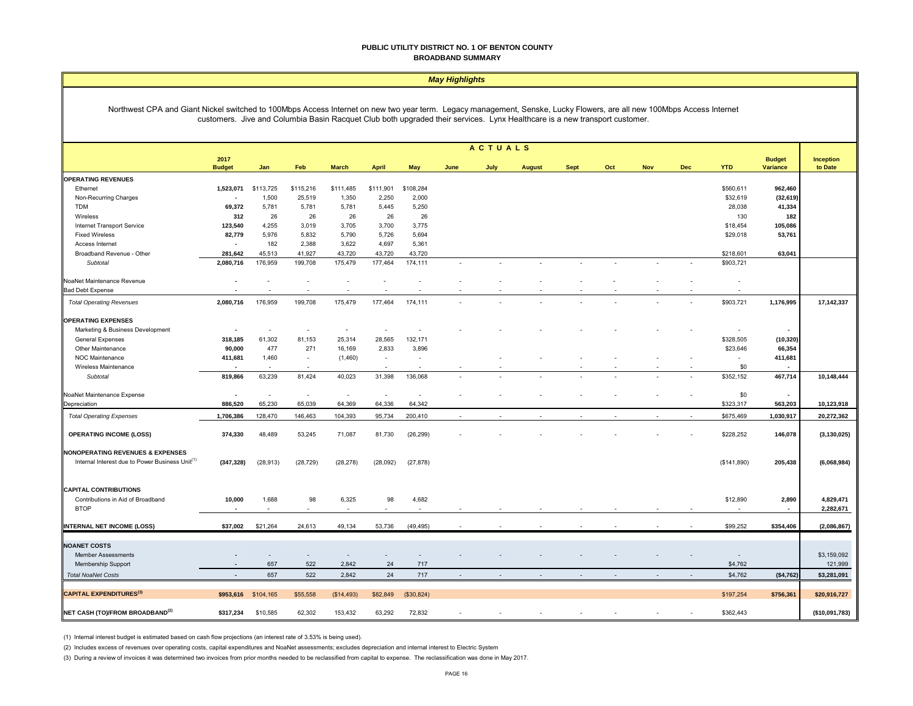#### **PUBLIC UTILITY DISTRICT NO. 1 OF BENTON COUNTY BROADBAND SUMMARY**

| Northwest CPA and Giant Nickel switched to 100Mbps Access Internet on new two year term. Legacy management, Senske, Lucky Flowers, are all new 100Mbps Access Internet<br>customers. Jive and Columbia Basin Racquet Club both upgraded their services. Lynx Healthcare is a new transport customer.<br><b>ACTUALS</b><br>2017<br><b>Budget</b><br>Inception<br><b>Variance</b><br>to Date<br><b>Budget</b><br><b>YTD</b><br>Jan<br>Feb<br><b>March</b><br><b>April</b><br>May<br><b>Sept</b><br>Oct<br><b>Nov</b><br><b>Dec</b><br>June<br>July<br><b>August</b><br><b>OPERATING REVENUES</b><br>1,523,071<br>\$113,725<br>\$115,216<br>\$111,485<br>\$111,901<br>\$108,284<br>\$560,611<br>962,460<br>Ethernet<br>25,519<br>\$32,619<br>Non-Recurring Charges<br>1,500<br>1,350<br>2,250<br>2,000<br>(32, 619)<br>69,372<br>5,781<br>5,250<br>28,038<br>41,334<br><b>TDM</b><br>5,781<br>5,781<br>5,445<br>312<br>26<br>26<br>26<br>26<br>26<br>130<br>182<br>Wireless<br><b>Internet Transport Service</b><br>123,540<br>4,255<br>3,019<br>3,705<br>3,700<br>3,775<br>\$18,454<br>105,086<br>5,832<br>82,779<br>5,976<br>5,790<br>5,726<br>5,694<br>\$29,018<br>53,761<br><b>Fixed Wireless</b><br>182<br>2,388<br>3,622<br>4,697<br>5,361<br>Access Internet<br>Broadband Revenue - Other<br>281,642<br>45,513<br>41,927<br>43,720<br>43,720<br>43,720<br>\$218,601<br>63,041<br>176,959<br>175,479<br>177,464<br>174,111<br>\$903,721<br>2,080,716<br>199,708<br>Subtotal<br>NoaNet Maintenance Revenue<br>L,<br><b>Bad Debt Expense</b><br><b>Total Operating Revenues</b><br>2,080,716<br>176,959<br>199,708<br>175,479<br>177,464<br>174,111<br>\$903,721<br>1,176,995<br>17,142,337<br><b>OPERATING EXPENSES</b><br>Marketing & Business Development<br>$\sim$<br>$\overline{\phantom{a}}$<br>٠<br>$\overline{\phantom{a}}$<br>$\sim$<br>318,185<br>61,302<br>81,153<br>25,314<br>28,565<br>132,171<br>\$328,505<br>(10, 320)<br><b>General Expenses</b><br>477<br>271<br>16,169<br>2,833<br>3,896<br>\$23,646<br>66,354<br>Other Maintenance<br>90,000<br>NOC Maintenance<br>411,681<br>1,460<br>411,681<br>(1,460)<br>$\sim$<br>$\sim$<br>$\sim$<br>$\sim$<br>\$0<br>Wireless Maintenance<br>63,239<br>81,424<br>136,068<br>\$352,152<br>819,866<br>40,023<br>31,398<br>467,714<br>10,148,444<br>Subtotal<br>\$0<br>NoaNet Maintenance Expense<br>÷.<br>÷,<br>$\overline{\phantom{a}}$<br>÷,<br>65,230<br>65,039<br>64,369<br>64,336<br>64,342<br>\$323,317<br>563,203<br>10,123,918<br>Depreciation<br>886,520<br><b>Total Operating Expenses</b><br>1,706,386<br>128,470<br>146,463<br>104,393<br>200,410<br>\$675,469<br>1,030,917<br>20,272,362<br>95,734<br><b>OPERATING INCOME (LOSS)</b><br>\$228,252<br>374,330<br>48,489<br>53,245<br>71,087<br>81,730<br>(26, 299)<br>146,078<br>(3, 130, 025)<br><b>NONOPERATING REVENUES &amp; EXPENSES</b><br>Internal Interest due to Power Business Unit <sup>(1)</sup><br>(347, 328)<br>(28, 913)<br>(28, 729)<br>(28, 278)<br>(28,092)<br>(27, 878)<br>(\$141,890)<br>205,438<br>(6,068,984)<br><b>CAPITAL CONTRIBUTIONS</b><br>6,325<br>10,000<br>1,688<br>98<br>98<br>4,682<br>\$12,890<br>2,890<br>4,829,471<br>Contributions in Aid of Broadband<br><b>BTOP</b><br>2,282,671<br>$\sim$<br>$\blacksquare$<br>\$37,002<br>\$21,264<br>24,613<br>49,134<br>(49, 495)<br>\$99,252<br>\$354,406<br>(2,086,867)<br>53,736<br><b>NOANET COSTS</b><br>\$3,159,092<br><b>Member Assessments</b><br>$\sim$<br>657<br>522<br>2,842<br>24<br>717<br>\$4,762<br>121,999<br>Membership Support<br>657<br>522<br>2,842<br>24<br>717<br><b>Total NoaNet Costs</b><br>\$4,762<br>(\$4,762)<br>\$3,281,091<br><b>CAPITAL EXPENDITURES (3)</b><br>\$953,616<br>\$104,165<br>\$55,558<br>(\$14,493)<br>\$82,849<br>(\$30,824)<br>\$197,254<br>\$756,361<br>\$20,916,727<br>\$10,585<br>153,432<br>72,832<br>\$362,443<br>(\$10,091,783)<br>\$317,234<br>62,302<br>63,292 | <b>May Highlights</b>                       |  |  |  |  |  |  |  |  |  |  |  |  |  |  |
|----------------------------------------------------------------------------------------------------------------------------------------------------------------------------------------------------------------------------------------------------------------------------------------------------------------------------------------------------------------------------------------------------------------------------------------------------------------------------------------------------------------------------------------------------------------------------------------------------------------------------------------------------------------------------------------------------------------------------------------------------------------------------------------------------------------------------------------------------------------------------------------------------------------------------------------------------------------------------------------------------------------------------------------------------------------------------------------------------------------------------------------------------------------------------------------------------------------------------------------------------------------------------------------------------------------------------------------------------------------------------------------------------------------------------------------------------------------------------------------------------------------------------------------------------------------------------------------------------------------------------------------------------------------------------------------------------------------------------------------------------------------------------------------------------------------------------------------------------------------------------------------------------------------------------------------------------------------------------------------------------------------------------------------------------------------------------------------------------------------------------------------------------------------------------------------------------------------------------------------------------------------------------------------------------------------------------------------------------------------------------------------------------------------------------------------------------------------------------------------------------------------------------------------------------------------------------------------------------------------------------------------------------------------------------------------------------------------------------------------------------------------------------------------------------------------------------------------------------------------------------------------------------------------------------------------------------------------------------------------------------------------------------------------------------------------------------------------------------------------------------------------------------------------------------------------------------------------------------------------------------------------------------------------------------------------------------------------------------------------------------------------------------------------------------------------------------------------------------------------------------------------------------------------------------------------------------------------------------------------------------------------------------------------------------------------------------------------------------------------------------------------------------------------------------------------------------------------------------------------------------------------------------------------------|---------------------------------------------|--|--|--|--|--|--|--|--|--|--|--|--|--|--|
|                                                                                                                                                                                                                                                                                                                                                                                                                                                                                                                                                                                                                                                                                                                                                                                                                                                                                                                                                                                                                                                                                                                                                                                                                                                                                                                                                                                                                                                                                                                                                                                                                                                                                                                                                                                                                                                                                                                                                                                                                                                                                                                                                                                                                                                                                                                                                                                                                                                                                                                                                                                                                                                                                                                                                                                                                                                                                                                                                                                                                                                                                                                                                                                                                                                                                                                                                                                                                                                                                                                                                                                                                                                                                                                                                                                                                                                                                                                      |                                             |  |  |  |  |  |  |  |  |  |  |  |  |  |  |
|                                                                                                                                                                                                                                                                                                                                                                                                                                                                                                                                                                                                                                                                                                                                                                                                                                                                                                                                                                                                                                                                                                                                                                                                                                                                                                                                                                                                                                                                                                                                                                                                                                                                                                                                                                                                                                                                                                                                                                                                                                                                                                                                                                                                                                                                                                                                                                                                                                                                                                                                                                                                                                                                                                                                                                                                                                                                                                                                                                                                                                                                                                                                                                                                                                                                                                                                                                                                                                                                                                                                                                                                                                                                                                                                                                                                                                                                                                                      |                                             |  |  |  |  |  |  |  |  |  |  |  |  |  |  |
|                                                                                                                                                                                                                                                                                                                                                                                                                                                                                                                                                                                                                                                                                                                                                                                                                                                                                                                                                                                                                                                                                                                                                                                                                                                                                                                                                                                                                                                                                                                                                                                                                                                                                                                                                                                                                                                                                                                                                                                                                                                                                                                                                                                                                                                                                                                                                                                                                                                                                                                                                                                                                                                                                                                                                                                                                                                                                                                                                                                                                                                                                                                                                                                                                                                                                                                                                                                                                                                                                                                                                                                                                                                                                                                                                                                                                                                                                                                      |                                             |  |  |  |  |  |  |  |  |  |  |  |  |  |  |
|                                                                                                                                                                                                                                                                                                                                                                                                                                                                                                                                                                                                                                                                                                                                                                                                                                                                                                                                                                                                                                                                                                                                                                                                                                                                                                                                                                                                                                                                                                                                                                                                                                                                                                                                                                                                                                                                                                                                                                                                                                                                                                                                                                                                                                                                                                                                                                                                                                                                                                                                                                                                                                                                                                                                                                                                                                                                                                                                                                                                                                                                                                                                                                                                                                                                                                                                                                                                                                                                                                                                                                                                                                                                                                                                                                                                                                                                                                                      |                                             |  |  |  |  |  |  |  |  |  |  |  |  |  |  |
|                                                                                                                                                                                                                                                                                                                                                                                                                                                                                                                                                                                                                                                                                                                                                                                                                                                                                                                                                                                                                                                                                                                                                                                                                                                                                                                                                                                                                                                                                                                                                                                                                                                                                                                                                                                                                                                                                                                                                                                                                                                                                                                                                                                                                                                                                                                                                                                                                                                                                                                                                                                                                                                                                                                                                                                                                                                                                                                                                                                                                                                                                                                                                                                                                                                                                                                                                                                                                                                                                                                                                                                                                                                                                                                                                                                                                                                                                                                      |                                             |  |  |  |  |  |  |  |  |  |  |  |  |  |  |
|                                                                                                                                                                                                                                                                                                                                                                                                                                                                                                                                                                                                                                                                                                                                                                                                                                                                                                                                                                                                                                                                                                                                                                                                                                                                                                                                                                                                                                                                                                                                                                                                                                                                                                                                                                                                                                                                                                                                                                                                                                                                                                                                                                                                                                                                                                                                                                                                                                                                                                                                                                                                                                                                                                                                                                                                                                                                                                                                                                                                                                                                                                                                                                                                                                                                                                                                                                                                                                                                                                                                                                                                                                                                                                                                                                                                                                                                                                                      |                                             |  |  |  |  |  |  |  |  |  |  |  |  |  |  |
|                                                                                                                                                                                                                                                                                                                                                                                                                                                                                                                                                                                                                                                                                                                                                                                                                                                                                                                                                                                                                                                                                                                                                                                                                                                                                                                                                                                                                                                                                                                                                                                                                                                                                                                                                                                                                                                                                                                                                                                                                                                                                                                                                                                                                                                                                                                                                                                                                                                                                                                                                                                                                                                                                                                                                                                                                                                                                                                                                                                                                                                                                                                                                                                                                                                                                                                                                                                                                                                                                                                                                                                                                                                                                                                                                                                                                                                                                                                      |                                             |  |  |  |  |  |  |  |  |  |  |  |  |  |  |
|                                                                                                                                                                                                                                                                                                                                                                                                                                                                                                                                                                                                                                                                                                                                                                                                                                                                                                                                                                                                                                                                                                                                                                                                                                                                                                                                                                                                                                                                                                                                                                                                                                                                                                                                                                                                                                                                                                                                                                                                                                                                                                                                                                                                                                                                                                                                                                                                                                                                                                                                                                                                                                                                                                                                                                                                                                                                                                                                                                                                                                                                                                                                                                                                                                                                                                                                                                                                                                                                                                                                                                                                                                                                                                                                                                                                                                                                                                                      |                                             |  |  |  |  |  |  |  |  |  |  |  |  |  |  |
|                                                                                                                                                                                                                                                                                                                                                                                                                                                                                                                                                                                                                                                                                                                                                                                                                                                                                                                                                                                                                                                                                                                                                                                                                                                                                                                                                                                                                                                                                                                                                                                                                                                                                                                                                                                                                                                                                                                                                                                                                                                                                                                                                                                                                                                                                                                                                                                                                                                                                                                                                                                                                                                                                                                                                                                                                                                                                                                                                                                                                                                                                                                                                                                                                                                                                                                                                                                                                                                                                                                                                                                                                                                                                                                                                                                                                                                                                                                      |                                             |  |  |  |  |  |  |  |  |  |  |  |  |  |  |
|                                                                                                                                                                                                                                                                                                                                                                                                                                                                                                                                                                                                                                                                                                                                                                                                                                                                                                                                                                                                                                                                                                                                                                                                                                                                                                                                                                                                                                                                                                                                                                                                                                                                                                                                                                                                                                                                                                                                                                                                                                                                                                                                                                                                                                                                                                                                                                                                                                                                                                                                                                                                                                                                                                                                                                                                                                                                                                                                                                                                                                                                                                                                                                                                                                                                                                                                                                                                                                                                                                                                                                                                                                                                                                                                                                                                                                                                                                                      |                                             |  |  |  |  |  |  |  |  |  |  |  |  |  |  |
|                                                                                                                                                                                                                                                                                                                                                                                                                                                                                                                                                                                                                                                                                                                                                                                                                                                                                                                                                                                                                                                                                                                                                                                                                                                                                                                                                                                                                                                                                                                                                                                                                                                                                                                                                                                                                                                                                                                                                                                                                                                                                                                                                                                                                                                                                                                                                                                                                                                                                                                                                                                                                                                                                                                                                                                                                                                                                                                                                                                                                                                                                                                                                                                                                                                                                                                                                                                                                                                                                                                                                                                                                                                                                                                                                                                                                                                                                                                      |                                             |  |  |  |  |  |  |  |  |  |  |  |  |  |  |
|                                                                                                                                                                                                                                                                                                                                                                                                                                                                                                                                                                                                                                                                                                                                                                                                                                                                                                                                                                                                                                                                                                                                                                                                                                                                                                                                                                                                                                                                                                                                                                                                                                                                                                                                                                                                                                                                                                                                                                                                                                                                                                                                                                                                                                                                                                                                                                                                                                                                                                                                                                                                                                                                                                                                                                                                                                                                                                                                                                                                                                                                                                                                                                                                                                                                                                                                                                                                                                                                                                                                                                                                                                                                                                                                                                                                                                                                                                                      |                                             |  |  |  |  |  |  |  |  |  |  |  |  |  |  |
|                                                                                                                                                                                                                                                                                                                                                                                                                                                                                                                                                                                                                                                                                                                                                                                                                                                                                                                                                                                                                                                                                                                                                                                                                                                                                                                                                                                                                                                                                                                                                                                                                                                                                                                                                                                                                                                                                                                                                                                                                                                                                                                                                                                                                                                                                                                                                                                                                                                                                                                                                                                                                                                                                                                                                                                                                                                                                                                                                                                                                                                                                                                                                                                                                                                                                                                                                                                                                                                                                                                                                                                                                                                                                                                                                                                                                                                                                                                      |                                             |  |  |  |  |  |  |  |  |  |  |  |  |  |  |
|                                                                                                                                                                                                                                                                                                                                                                                                                                                                                                                                                                                                                                                                                                                                                                                                                                                                                                                                                                                                                                                                                                                                                                                                                                                                                                                                                                                                                                                                                                                                                                                                                                                                                                                                                                                                                                                                                                                                                                                                                                                                                                                                                                                                                                                                                                                                                                                                                                                                                                                                                                                                                                                                                                                                                                                                                                                                                                                                                                                                                                                                                                                                                                                                                                                                                                                                                                                                                                                                                                                                                                                                                                                                                                                                                                                                                                                                                                                      |                                             |  |  |  |  |  |  |  |  |  |  |  |  |  |  |
|                                                                                                                                                                                                                                                                                                                                                                                                                                                                                                                                                                                                                                                                                                                                                                                                                                                                                                                                                                                                                                                                                                                                                                                                                                                                                                                                                                                                                                                                                                                                                                                                                                                                                                                                                                                                                                                                                                                                                                                                                                                                                                                                                                                                                                                                                                                                                                                                                                                                                                                                                                                                                                                                                                                                                                                                                                                                                                                                                                                                                                                                                                                                                                                                                                                                                                                                                                                                                                                                                                                                                                                                                                                                                                                                                                                                                                                                                                                      |                                             |  |  |  |  |  |  |  |  |  |  |  |  |  |  |
|                                                                                                                                                                                                                                                                                                                                                                                                                                                                                                                                                                                                                                                                                                                                                                                                                                                                                                                                                                                                                                                                                                                                                                                                                                                                                                                                                                                                                                                                                                                                                                                                                                                                                                                                                                                                                                                                                                                                                                                                                                                                                                                                                                                                                                                                                                                                                                                                                                                                                                                                                                                                                                                                                                                                                                                                                                                                                                                                                                                                                                                                                                                                                                                                                                                                                                                                                                                                                                                                                                                                                                                                                                                                                                                                                                                                                                                                                                                      |                                             |  |  |  |  |  |  |  |  |  |  |  |  |  |  |
|                                                                                                                                                                                                                                                                                                                                                                                                                                                                                                                                                                                                                                                                                                                                                                                                                                                                                                                                                                                                                                                                                                                                                                                                                                                                                                                                                                                                                                                                                                                                                                                                                                                                                                                                                                                                                                                                                                                                                                                                                                                                                                                                                                                                                                                                                                                                                                                                                                                                                                                                                                                                                                                                                                                                                                                                                                                                                                                                                                                                                                                                                                                                                                                                                                                                                                                                                                                                                                                                                                                                                                                                                                                                                                                                                                                                                                                                                                                      |                                             |  |  |  |  |  |  |  |  |  |  |  |  |  |  |
|                                                                                                                                                                                                                                                                                                                                                                                                                                                                                                                                                                                                                                                                                                                                                                                                                                                                                                                                                                                                                                                                                                                                                                                                                                                                                                                                                                                                                                                                                                                                                                                                                                                                                                                                                                                                                                                                                                                                                                                                                                                                                                                                                                                                                                                                                                                                                                                                                                                                                                                                                                                                                                                                                                                                                                                                                                                                                                                                                                                                                                                                                                                                                                                                                                                                                                                                                                                                                                                                                                                                                                                                                                                                                                                                                                                                                                                                                                                      |                                             |  |  |  |  |  |  |  |  |  |  |  |  |  |  |
|                                                                                                                                                                                                                                                                                                                                                                                                                                                                                                                                                                                                                                                                                                                                                                                                                                                                                                                                                                                                                                                                                                                                                                                                                                                                                                                                                                                                                                                                                                                                                                                                                                                                                                                                                                                                                                                                                                                                                                                                                                                                                                                                                                                                                                                                                                                                                                                                                                                                                                                                                                                                                                                                                                                                                                                                                                                                                                                                                                                                                                                                                                                                                                                                                                                                                                                                                                                                                                                                                                                                                                                                                                                                                                                                                                                                                                                                                                                      |                                             |  |  |  |  |  |  |  |  |  |  |  |  |  |  |
|                                                                                                                                                                                                                                                                                                                                                                                                                                                                                                                                                                                                                                                                                                                                                                                                                                                                                                                                                                                                                                                                                                                                                                                                                                                                                                                                                                                                                                                                                                                                                                                                                                                                                                                                                                                                                                                                                                                                                                                                                                                                                                                                                                                                                                                                                                                                                                                                                                                                                                                                                                                                                                                                                                                                                                                                                                                                                                                                                                                                                                                                                                                                                                                                                                                                                                                                                                                                                                                                                                                                                                                                                                                                                                                                                                                                                                                                                                                      |                                             |  |  |  |  |  |  |  |  |  |  |  |  |  |  |
|                                                                                                                                                                                                                                                                                                                                                                                                                                                                                                                                                                                                                                                                                                                                                                                                                                                                                                                                                                                                                                                                                                                                                                                                                                                                                                                                                                                                                                                                                                                                                                                                                                                                                                                                                                                                                                                                                                                                                                                                                                                                                                                                                                                                                                                                                                                                                                                                                                                                                                                                                                                                                                                                                                                                                                                                                                                                                                                                                                                                                                                                                                                                                                                                                                                                                                                                                                                                                                                                                                                                                                                                                                                                                                                                                                                                                                                                                                                      |                                             |  |  |  |  |  |  |  |  |  |  |  |  |  |  |
|                                                                                                                                                                                                                                                                                                                                                                                                                                                                                                                                                                                                                                                                                                                                                                                                                                                                                                                                                                                                                                                                                                                                                                                                                                                                                                                                                                                                                                                                                                                                                                                                                                                                                                                                                                                                                                                                                                                                                                                                                                                                                                                                                                                                                                                                                                                                                                                                                                                                                                                                                                                                                                                                                                                                                                                                                                                                                                                                                                                                                                                                                                                                                                                                                                                                                                                                                                                                                                                                                                                                                                                                                                                                                                                                                                                                                                                                                                                      |                                             |  |  |  |  |  |  |  |  |  |  |  |  |  |  |
|                                                                                                                                                                                                                                                                                                                                                                                                                                                                                                                                                                                                                                                                                                                                                                                                                                                                                                                                                                                                                                                                                                                                                                                                                                                                                                                                                                                                                                                                                                                                                                                                                                                                                                                                                                                                                                                                                                                                                                                                                                                                                                                                                                                                                                                                                                                                                                                                                                                                                                                                                                                                                                                                                                                                                                                                                                                                                                                                                                                                                                                                                                                                                                                                                                                                                                                                                                                                                                                                                                                                                                                                                                                                                                                                                                                                                                                                                                                      |                                             |  |  |  |  |  |  |  |  |  |  |  |  |  |  |
|                                                                                                                                                                                                                                                                                                                                                                                                                                                                                                                                                                                                                                                                                                                                                                                                                                                                                                                                                                                                                                                                                                                                                                                                                                                                                                                                                                                                                                                                                                                                                                                                                                                                                                                                                                                                                                                                                                                                                                                                                                                                                                                                                                                                                                                                                                                                                                                                                                                                                                                                                                                                                                                                                                                                                                                                                                                                                                                                                                                                                                                                                                                                                                                                                                                                                                                                                                                                                                                                                                                                                                                                                                                                                                                                                                                                                                                                                                                      |                                             |  |  |  |  |  |  |  |  |  |  |  |  |  |  |
|                                                                                                                                                                                                                                                                                                                                                                                                                                                                                                                                                                                                                                                                                                                                                                                                                                                                                                                                                                                                                                                                                                                                                                                                                                                                                                                                                                                                                                                                                                                                                                                                                                                                                                                                                                                                                                                                                                                                                                                                                                                                                                                                                                                                                                                                                                                                                                                                                                                                                                                                                                                                                                                                                                                                                                                                                                                                                                                                                                                                                                                                                                                                                                                                                                                                                                                                                                                                                                                                                                                                                                                                                                                                                                                                                                                                                                                                                                                      |                                             |  |  |  |  |  |  |  |  |  |  |  |  |  |  |
|                                                                                                                                                                                                                                                                                                                                                                                                                                                                                                                                                                                                                                                                                                                                                                                                                                                                                                                                                                                                                                                                                                                                                                                                                                                                                                                                                                                                                                                                                                                                                                                                                                                                                                                                                                                                                                                                                                                                                                                                                                                                                                                                                                                                                                                                                                                                                                                                                                                                                                                                                                                                                                                                                                                                                                                                                                                                                                                                                                                                                                                                                                                                                                                                                                                                                                                                                                                                                                                                                                                                                                                                                                                                                                                                                                                                                                                                                                                      |                                             |  |  |  |  |  |  |  |  |  |  |  |  |  |  |
|                                                                                                                                                                                                                                                                                                                                                                                                                                                                                                                                                                                                                                                                                                                                                                                                                                                                                                                                                                                                                                                                                                                                                                                                                                                                                                                                                                                                                                                                                                                                                                                                                                                                                                                                                                                                                                                                                                                                                                                                                                                                                                                                                                                                                                                                                                                                                                                                                                                                                                                                                                                                                                                                                                                                                                                                                                                                                                                                                                                                                                                                                                                                                                                                                                                                                                                                                                                                                                                                                                                                                                                                                                                                                                                                                                                                                                                                                                                      |                                             |  |  |  |  |  |  |  |  |  |  |  |  |  |  |
|                                                                                                                                                                                                                                                                                                                                                                                                                                                                                                                                                                                                                                                                                                                                                                                                                                                                                                                                                                                                                                                                                                                                                                                                                                                                                                                                                                                                                                                                                                                                                                                                                                                                                                                                                                                                                                                                                                                                                                                                                                                                                                                                                                                                                                                                                                                                                                                                                                                                                                                                                                                                                                                                                                                                                                                                                                                                                                                                                                                                                                                                                                                                                                                                                                                                                                                                                                                                                                                                                                                                                                                                                                                                                                                                                                                                                                                                                                                      |                                             |  |  |  |  |  |  |  |  |  |  |  |  |  |  |
|                                                                                                                                                                                                                                                                                                                                                                                                                                                                                                                                                                                                                                                                                                                                                                                                                                                                                                                                                                                                                                                                                                                                                                                                                                                                                                                                                                                                                                                                                                                                                                                                                                                                                                                                                                                                                                                                                                                                                                                                                                                                                                                                                                                                                                                                                                                                                                                                                                                                                                                                                                                                                                                                                                                                                                                                                                                                                                                                                                                                                                                                                                                                                                                                                                                                                                                                                                                                                                                                                                                                                                                                                                                                                                                                                                                                                                                                                                                      |                                             |  |  |  |  |  |  |  |  |  |  |  |  |  |  |
|                                                                                                                                                                                                                                                                                                                                                                                                                                                                                                                                                                                                                                                                                                                                                                                                                                                                                                                                                                                                                                                                                                                                                                                                                                                                                                                                                                                                                                                                                                                                                                                                                                                                                                                                                                                                                                                                                                                                                                                                                                                                                                                                                                                                                                                                                                                                                                                                                                                                                                                                                                                                                                                                                                                                                                                                                                                                                                                                                                                                                                                                                                                                                                                                                                                                                                                                                                                                                                                                                                                                                                                                                                                                                                                                                                                                                                                                                                                      |                                             |  |  |  |  |  |  |  |  |  |  |  |  |  |  |
|                                                                                                                                                                                                                                                                                                                                                                                                                                                                                                                                                                                                                                                                                                                                                                                                                                                                                                                                                                                                                                                                                                                                                                                                                                                                                                                                                                                                                                                                                                                                                                                                                                                                                                                                                                                                                                                                                                                                                                                                                                                                                                                                                                                                                                                                                                                                                                                                                                                                                                                                                                                                                                                                                                                                                                                                                                                                                                                                                                                                                                                                                                                                                                                                                                                                                                                                                                                                                                                                                                                                                                                                                                                                                                                                                                                                                                                                                                                      |                                             |  |  |  |  |  |  |  |  |  |  |  |  |  |  |
|                                                                                                                                                                                                                                                                                                                                                                                                                                                                                                                                                                                                                                                                                                                                                                                                                                                                                                                                                                                                                                                                                                                                                                                                                                                                                                                                                                                                                                                                                                                                                                                                                                                                                                                                                                                                                                                                                                                                                                                                                                                                                                                                                                                                                                                                                                                                                                                                                                                                                                                                                                                                                                                                                                                                                                                                                                                                                                                                                                                                                                                                                                                                                                                                                                                                                                                                                                                                                                                                                                                                                                                                                                                                                                                                                                                                                                                                                                                      |                                             |  |  |  |  |  |  |  |  |  |  |  |  |  |  |
|                                                                                                                                                                                                                                                                                                                                                                                                                                                                                                                                                                                                                                                                                                                                                                                                                                                                                                                                                                                                                                                                                                                                                                                                                                                                                                                                                                                                                                                                                                                                                                                                                                                                                                                                                                                                                                                                                                                                                                                                                                                                                                                                                                                                                                                                                                                                                                                                                                                                                                                                                                                                                                                                                                                                                                                                                                                                                                                                                                                                                                                                                                                                                                                                                                                                                                                                                                                                                                                                                                                                                                                                                                                                                                                                                                                                                                                                                                                      |                                             |  |  |  |  |  |  |  |  |  |  |  |  |  |  |
|                                                                                                                                                                                                                                                                                                                                                                                                                                                                                                                                                                                                                                                                                                                                                                                                                                                                                                                                                                                                                                                                                                                                                                                                                                                                                                                                                                                                                                                                                                                                                                                                                                                                                                                                                                                                                                                                                                                                                                                                                                                                                                                                                                                                                                                                                                                                                                                                                                                                                                                                                                                                                                                                                                                                                                                                                                                                                                                                                                                                                                                                                                                                                                                                                                                                                                                                                                                                                                                                                                                                                                                                                                                                                                                                                                                                                                                                                                                      |                                             |  |  |  |  |  |  |  |  |  |  |  |  |  |  |
|                                                                                                                                                                                                                                                                                                                                                                                                                                                                                                                                                                                                                                                                                                                                                                                                                                                                                                                                                                                                                                                                                                                                                                                                                                                                                                                                                                                                                                                                                                                                                                                                                                                                                                                                                                                                                                                                                                                                                                                                                                                                                                                                                                                                                                                                                                                                                                                                                                                                                                                                                                                                                                                                                                                                                                                                                                                                                                                                                                                                                                                                                                                                                                                                                                                                                                                                                                                                                                                                                                                                                                                                                                                                                                                                                                                                                                                                                                                      | <b>INTERNAL NET INCOME (LOSS)</b>           |  |  |  |  |  |  |  |  |  |  |  |  |  |  |
|                                                                                                                                                                                                                                                                                                                                                                                                                                                                                                                                                                                                                                                                                                                                                                                                                                                                                                                                                                                                                                                                                                                                                                                                                                                                                                                                                                                                                                                                                                                                                                                                                                                                                                                                                                                                                                                                                                                                                                                                                                                                                                                                                                                                                                                                                                                                                                                                                                                                                                                                                                                                                                                                                                                                                                                                                                                                                                                                                                                                                                                                                                                                                                                                                                                                                                                                                                                                                                                                                                                                                                                                                                                                                                                                                                                                                                                                                                                      |                                             |  |  |  |  |  |  |  |  |  |  |  |  |  |  |
|                                                                                                                                                                                                                                                                                                                                                                                                                                                                                                                                                                                                                                                                                                                                                                                                                                                                                                                                                                                                                                                                                                                                                                                                                                                                                                                                                                                                                                                                                                                                                                                                                                                                                                                                                                                                                                                                                                                                                                                                                                                                                                                                                                                                                                                                                                                                                                                                                                                                                                                                                                                                                                                                                                                                                                                                                                                                                                                                                                                                                                                                                                                                                                                                                                                                                                                                                                                                                                                                                                                                                                                                                                                                                                                                                                                                                                                                                                                      |                                             |  |  |  |  |  |  |  |  |  |  |  |  |  |  |
|                                                                                                                                                                                                                                                                                                                                                                                                                                                                                                                                                                                                                                                                                                                                                                                                                                                                                                                                                                                                                                                                                                                                                                                                                                                                                                                                                                                                                                                                                                                                                                                                                                                                                                                                                                                                                                                                                                                                                                                                                                                                                                                                                                                                                                                                                                                                                                                                                                                                                                                                                                                                                                                                                                                                                                                                                                                                                                                                                                                                                                                                                                                                                                                                                                                                                                                                                                                                                                                                                                                                                                                                                                                                                                                                                                                                                                                                                                                      |                                             |  |  |  |  |  |  |  |  |  |  |  |  |  |  |
|                                                                                                                                                                                                                                                                                                                                                                                                                                                                                                                                                                                                                                                                                                                                                                                                                                                                                                                                                                                                                                                                                                                                                                                                                                                                                                                                                                                                                                                                                                                                                                                                                                                                                                                                                                                                                                                                                                                                                                                                                                                                                                                                                                                                                                                                                                                                                                                                                                                                                                                                                                                                                                                                                                                                                                                                                                                                                                                                                                                                                                                                                                                                                                                                                                                                                                                                                                                                                                                                                                                                                                                                                                                                                                                                                                                                                                                                                                                      |                                             |  |  |  |  |  |  |  |  |  |  |  |  |  |  |
|                                                                                                                                                                                                                                                                                                                                                                                                                                                                                                                                                                                                                                                                                                                                                                                                                                                                                                                                                                                                                                                                                                                                                                                                                                                                                                                                                                                                                                                                                                                                                                                                                                                                                                                                                                                                                                                                                                                                                                                                                                                                                                                                                                                                                                                                                                                                                                                                                                                                                                                                                                                                                                                                                                                                                                                                                                                                                                                                                                                                                                                                                                                                                                                                                                                                                                                                                                                                                                                                                                                                                                                                                                                                                                                                                                                                                                                                                                                      |                                             |  |  |  |  |  |  |  |  |  |  |  |  |  |  |
|                                                                                                                                                                                                                                                                                                                                                                                                                                                                                                                                                                                                                                                                                                                                                                                                                                                                                                                                                                                                                                                                                                                                                                                                                                                                                                                                                                                                                                                                                                                                                                                                                                                                                                                                                                                                                                                                                                                                                                                                                                                                                                                                                                                                                                                                                                                                                                                                                                                                                                                                                                                                                                                                                                                                                                                                                                                                                                                                                                                                                                                                                                                                                                                                                                                                                                                                                                                                                                                                                                                                                                                                                                                                                                                                                                                                                                                                                                                      |                                             |  |  |  |  |  |  |  |  |  |  |  |  |  |  |
|                                                                                                                                                                                                                                                                                                                                                                                                                                                                                                                                                                                                                                                                                                                                                                                                                                                                                                                                                                                                                                                                                                                                                                                                                                                                                                                                                                                                                                                                                                                                                                                                                                                                                                                                                                                                                                                                                                                                                                                                                                                                                                                                                                                                                                                                                                                                                                                                                                                                                                                                                                                                                                                                                                                                                                                                                                                                                                                                                                                                                                                                                                                                                                                                                                                                                                                                                                                                                                                                                                                                                                                                                                                                                                                                                                                                                                                                                                                      | NET CASH (TO)/FROM BROADBAND <sup>(2)</sup> |  |  |  |  |  |  |  |  |  |  |  |  |  |  |

(1) Internal interest budget is estimated based on cash flow projections (an interest rate of 3.53% is being used).

(2) Includes excess of revenues over operating costs, capital expenditures and NoaNet assessments; excludes depreciation and internal interest to Electric System

(3) During a review of invoices it was determined two invoices from prior months needed to be reclassified from capital to expense. The reclassification was done in May 2017.